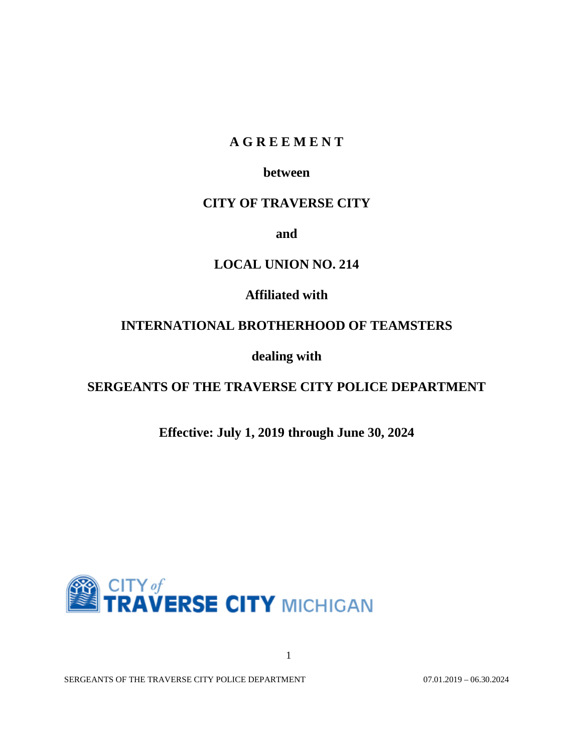# **A G R E E M E N T**

# **between**

# **CITY OF TRAVERSE CITY**

**and**

# **LOCAL UNION NO. 214**

**Affiliated with**

# **INTERNATIONAL BROTHERHOOD OF TEAMSTERS**

**dealing with**

# **SERGEANTS OF THE TRAVERSE CITY POLICE DEPARTMENT**

**Effective: July 1, 2019 through June 30, 2024**



1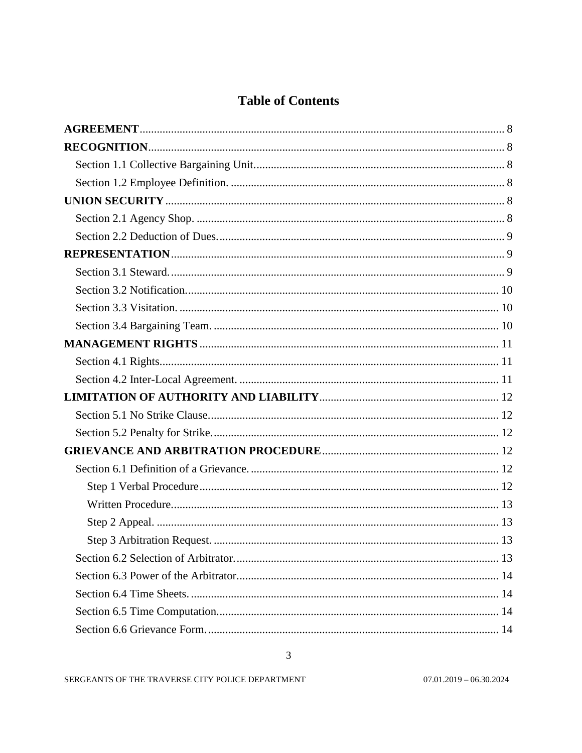# **Table of Contents**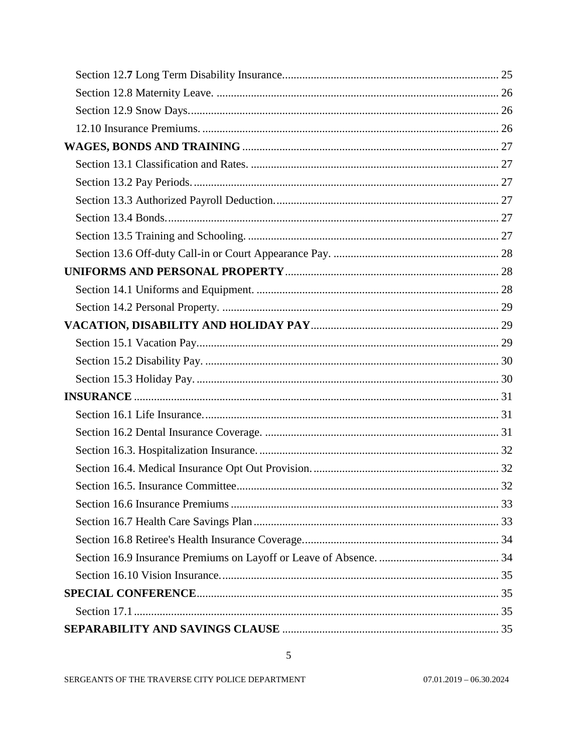$\overline{5}$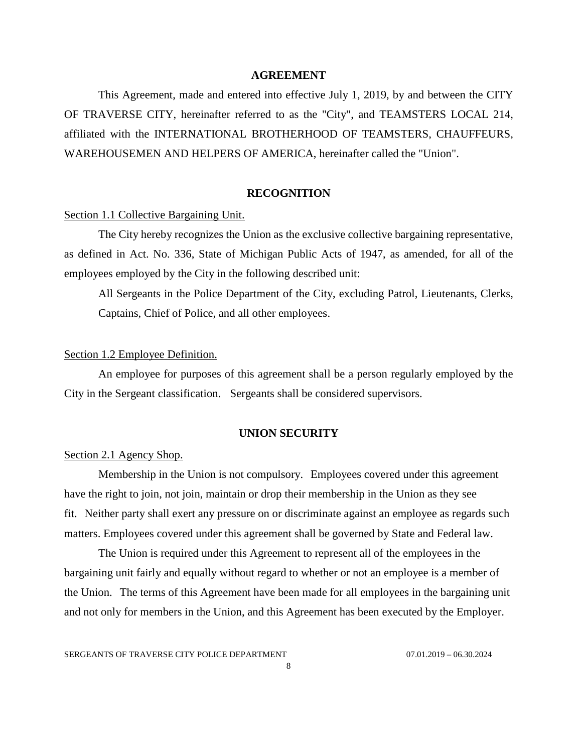### **AGREEMENT**

<span id="page-7-0"></span>This Agreement, made and entered into effective July 1, 2019, by and between the CITY OF TRAVERSE CITY, hereinafter referred to as the "City", and TEAMSTERS LOCAL 214, affiliated with the INTERNATIONAL BROTHERHOOD OF TEAMSTERS, CHAUFFEURS, WAREHOUSEMEN AND HELPERS OF AMERICA, hereinafter called the "Union".

#### **RECOGNITION**

## <span id="page-7-2"></span><span id="page-7-1"></span>Section 1.1 Collective Bargaining Unit.

The City hereby recognizes the Union as the exclusive collective bargaining representative, as defined in Act. No. 336, State of Michigan Public Acts of 1947, as amended, for all of the employees employed by the City in the following described unit:

All Sergeants in the Police Department of the City, excluding Patrol, Lieutenants, Clerks, Captains, Chief of Police, and all other employees.

#### <span id="page-7-3"></span>Section 1.2 Employee Definition.

An employee for purposes of this agreement shall be a person regularly employed by the City in the Sergeant classification. Sergeants shall be considered supervisors.

#### **UNION SECURITY**

## <span id="page-7-5"></span><span id="page-7-4"></span>Section 2.1 Agency Shop.

Membership in the Union is not compulsory. Employees covered under this agreement have the right to join, not join, maintain or drop their membership in the Union as they see fit. Neither party shall exert any pressure on or discriminate against an employee as regards such matters. Employees covered under this agreement shall be governed by State and Federal law.

The Union is required under this Agreement to represent all of the employees in the bargaining unit fairly and equally without regard to whether or not an employee is a member of the Union. The terms of this Agreement have been made for all employees in the bargaining unit and not only for members in the Union, and this Agreement has been executed by the Employer.

SERGEANTS OF TRAVERSE CITY POLICE DEPARTMENT 07.01.2019 - 06.30.2024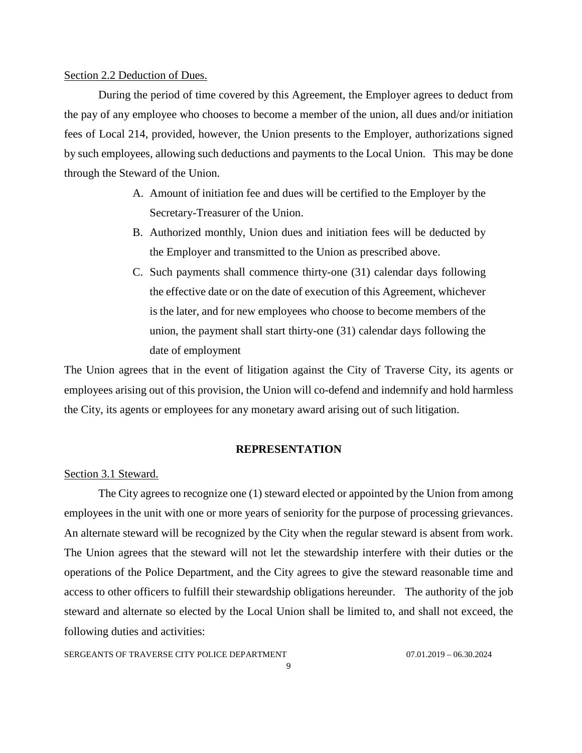## <span id="page-8-0"></span>Section 2.2 Deduction of Dues.

During the period of time covered by this Agreement, the Employer agrees to deduct from the pay of any employee who chooses to become a member of the union, all dues and/or initiation fees of Local 214, provided, however, the Union presents to the Employer, authorizations signed by such employees, allowing such deductions and payments to the Local Union. This may be done through the Steward of the Union.

- A. Amount of initiation fee and dues will be certified to the Employer by the Secretary-Treasurer of the Union.
- B. Authorized monthly, Union dues and initiation fees will be deducted by the Employer and transmitted to the Union as prescribed above.
- C. Such payments shall commence thirty-one (31) calendar days following the effective date or on the date of execution of this Agreement, whichever is the later, and for new employees who choose to become members of the union, the payment shall start thirty-one (31) calendar days following the date of employment

The Union agrees that in the event of litigation against the City of Traverse City, its agents or employees arising out of this provision, the Union will co-defend and indemnify and hold harmless the City, its agents or employees for any monetary award arising out of such litigation.

#### **REPRESENTATION**

#### <span id="page-8-2"></span><span id="page-8-1"></span>Section 3.1 Steward.

The City agrees to recognize one (1) steward elected or appointed by the Union from among employees in the unit with one or more years of seniority for the purpose of processing grievances. An alternate steward will be recognized by the City when the regular steward is absent from work. The Union agrees that the steward will not let the stewardship interfere with their duties or the operations of the Police Department, and the City agrees to give the steward reasonable time and access to other officers to fulfill their stewardship obligations hereunder. The authority of the job steward and alternate so elected by the Local Union shall be limited to, and shall not exceed, the following duties and activities: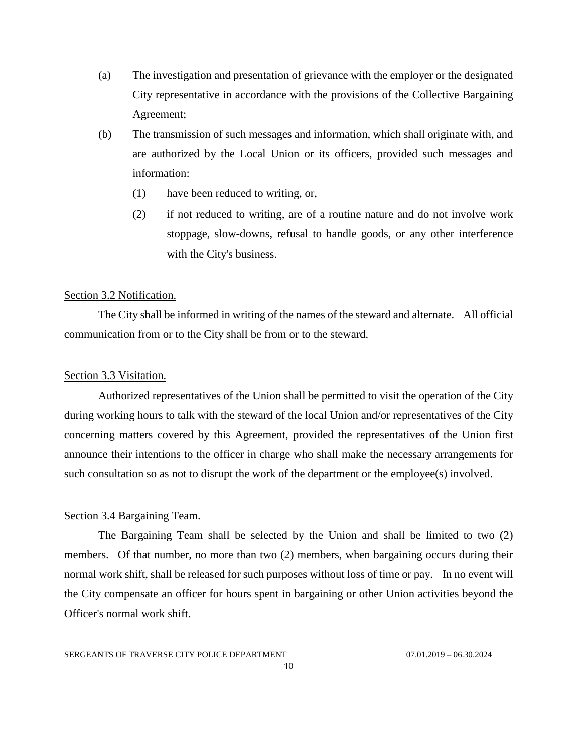- (a) The investigation and presentation of grievance with the employer or the designated City representative in accordance with the provisions of the Collective Bargaining Agreement;
- (b) The transmission of such messages and information, which shall originate with, and are authorized by the Local Union or its officers, provided such messages and information:
	- (1) have been reduced to writing, or,
	- (2) if not reduced to writing, are of a routine nature and do not involve work stoppage, slow-downs, refusal to handle goods, or any other interference with the City's business.

## <span id="page-9-0"></span>Section 3.2 Notification.

The City shall be informed in writing of the names of the steward and alternate. All official communication from or to the City shall be from or to the steward.

### <span id="page-9-1"></span>Section 3.3 Visitation.

Authorized representatives of the Union shall be permitted to visit the operation of the City during working hours to talk with the steward of the local Union and/or representatives of the City concerning matters covered by this Agreement, provided the representatives of the Union first announce their intentions to the officer in charge who shall make the necessary arrangements for such consultation so as not to disrupt the work of the department or the employee(s) involved.

#### <span id="page-9-2"></span>Section 3.4 Bargaining Team.

The Bargaining Team shall be selected by the Union and shall be limited to two (2) members. Of that number, no more than two (2) members, when bargaining occurs during their normal work shift, shall be released for such purposes without loss of time or pay. In no event will the City compensate an officer for hours spent in bargaining or other Union activities beyond the Officer's normal work shift.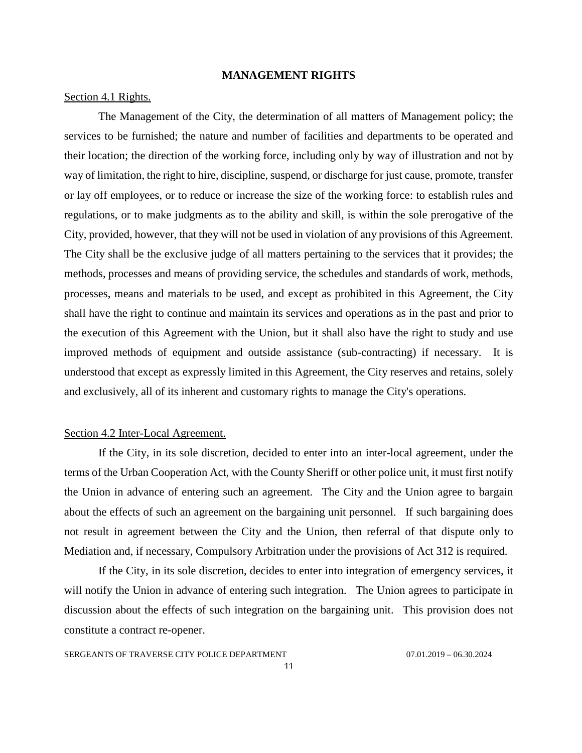#### **MANAGEMENT RIGHTS**

## <span id="page-10-1"></span><span id="page-10-0"></span>Section 4.1 Rights.

The Management of the City, the determination of all matters of Management policy; the services to be furnished; the nature and number of facilities and departments to be operated and their location; the direction of the working force, including only by way of illustration and not by way of limitation, the right to hire, discipline, suspend, or discharge for just cause, promote, transfer or lay off employees, or to reduce or increase the size of the working force: to establish rules and regulations, or to make judgments as to the ability and skill, is within the sole prerogative of the City, provided, however, that they will not be used in violation of any provisions of this Agreement. The City shall be the exclusive judge of all matters pertaining to the services that it provides; the methods, processes and means of providing service, the schedules and standards of work, methods, processes, means and materials to be used, and except as prohibited in this Agreement, the City shall have the right to continue and maintain its services and operations as in the past and prior to the execution of this Agreement with the Union, but it shall also have the right to study and use improved methods of equipment and outside assistance (sub-contracting) if necessary. It is understood that except as expressly limited in this Agreement, the City reserves and retains, solely and exclusively, all of its inherent and customary rights to manage the City's operations.

## <span id="page-10-2"></span>Section 4.2 Inter-Local Agreement.

If the City, in its sole discretion, decided to enter into an inter-local agreement, under the terms of the Urban Cooperation Act, with the County Sheriff or other police unit, it must first notify the Union in advance of entering such an agreement. The City and the Union agree to bargain about the effects of such an agreement on the bargaining unit personnel. If such bargaining does not result in agreement between the City and the Union, then referral of that dispute only to Mediation and, if necessary, Compulsory Arbitration under the provisions of Act 312 is required.

If the City, in its sole discretion, decides to enter into integration of emergency services, it will notify the Union in advance of entering such integration. The Union agrees to participate in discussion about the effects of such integration on the bargaining unit. This provision does not constitute a contract re-opener.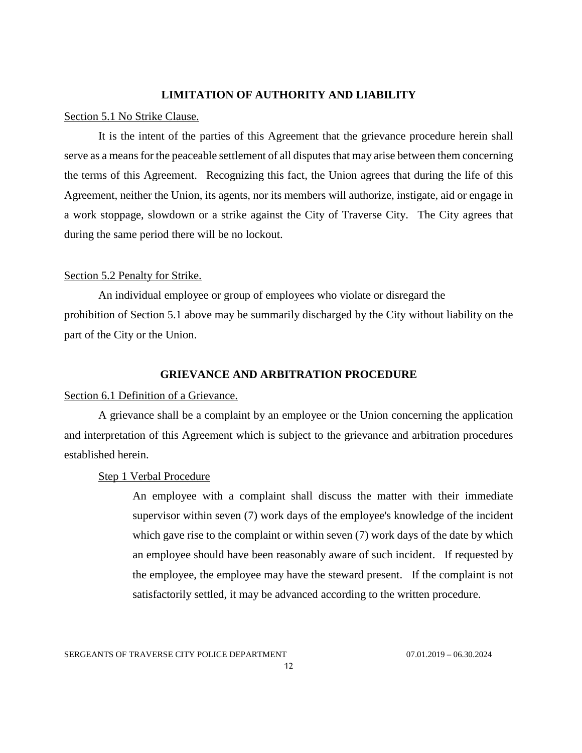## **LIMITATION OF AUTHORITY AND LIABILITY**

#### <span id="page-11-1"></span><span id="page-11-0"></span>Section 5.1 No Strike Clause.

It is the intent of the parties of this Agreement that the grievance procedure herein shall serve as a means for the peaceable settlement of all disputes that may arise between them concerning the terms of this Agreement. Recognizing this fact, the Union agrees that during the life of this Agreement, neither the Union, its agents, nor its members will authorize, instigate, aid or engage in a work stoppage, slowdown or a strike against the City of Traverse City. The City agrees that during the same period there will be no lockout.

#### <span id="page-11-2"></span>Section 5.2 Penalty for Strike.

An individual employee or group of employees who violate or disregard the prohibition of Section 5.1 above may be summarily discharged by the City without liability on the part of the City or the Union.

#### **GRIEVANCE AND ARBITRATION PROCEDURE**

#### <span id="page-11-4"></span><span id="page-11-3"></span>Section 6.1 Definition of a Grievance.

A grievance shall be a complaint by an employee or the Union concerning the application and interpretation of this Agreement which is subject to the grievance and arbitration procedures established herein.

#### <span id="page-11-5"></span>Step 1 Verbal Procedure

An employee with a complaint shall discuss the matter with their immediate supervisor within seven (7) work days of the employee's knowledge of the incident which gave rise to the complaint or within seven (7) work days of the date by which an employee should have been reasonably aware of such incident. If requested by the employee, the employee may have the steward present. If the complaint is not satisfactorily settled, it may be advanced according to the written procedure.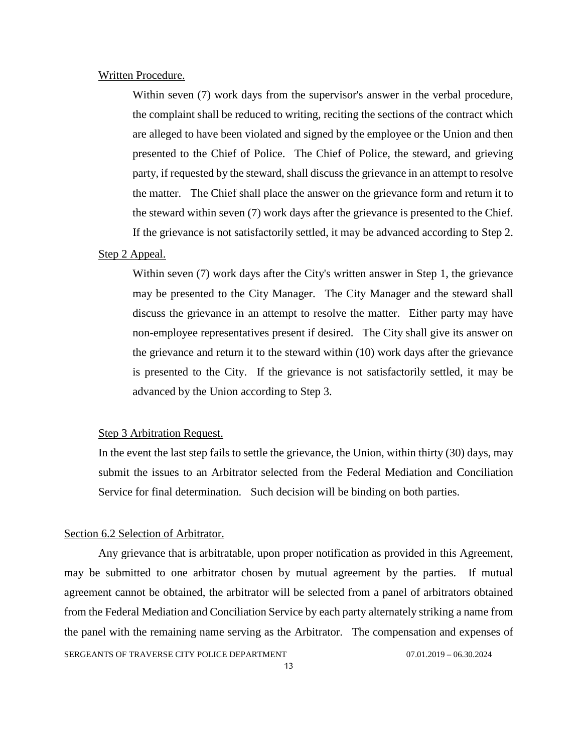## <span id="page-12-0"></span>Written Procedure.

Within seven (7) work days from the supervisor's answer in the verbal procedure, the complaint shall be reduced to writing, reciting the sections of the contract which are alleged to have been violated and signed by the employee or the Union and then presented to the Chief of Police. The Chief of Police, the steward, and grieving party, if requested by the steward, shall discuss the grievance in an attempt to resolve the matter. The Chief shall place the answer on the grievance form and return it to the steward within seven (7) work days after the grievance is presented to the Chief. If the grievance is not satisfactorily settled, it may be advanced according to Step 2.

#### <span id="page-12-1"></span>Step 2 Appeal.

Within seven (7) work days after the City's written answer in Step 1, the grievance may be presented to the City Manager. The City Manager and the steward shall discuss the grievance in an attempt to resolve the matter. Either party may have non-employee representatives present if desired. The City shall give its answer on the grievance and return it to the steward within (10) work days after the grievance is presented to the City. If the grievance is not satisfactorily settled, it may be advanced by the Union according to Step 3.

## <span id="page-12-2"></span>Step 3 Arbitration Request.

In the event the last step fails to settle the grievance, the Union, within thirty (30) days, may submit the issues to an Arbitrator selected from the Federal Mediation and Conciliation Service for final determination. Such decision will be binding on both parties.

## <span id="page-12-3"></span>Section 6.2 Selection of Arbitrator.

SERGEANTS OF TRAVERSE CITY POLICE DEPARTMENT 07.01.2019 - 06.30.2024 Any grievance that is arbitratable, upon proper notification as provided in this Agreement, may be submitted to one arbitrator chosen by mutual agreement by the parties. If mutual agreement cannot be obtained, the arbitrator will be selected from a panel of arbitrators obtained from the Federal Mediation and Conciliation Service by each party alternately striking a name from the panel with the remaining name serving as the Arbitrator. The compensation and expenses of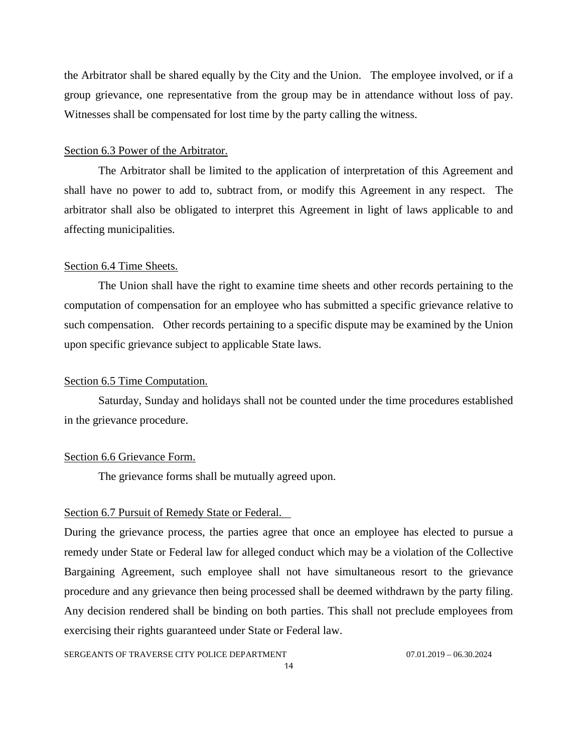the Arbitrator shall be shared equally by the City and the Union. The employee involved, or if a group grievance, one representative from the group may be in attendance without loss of pay. Witnesses shall be compensated for lost time by the party calling the witness.

## <span id="page-13-0"></span>Section 6.3 Power of the Arbitrator.

The Arbitrator shall be limited to the application of interpretation of this Agreement and shall have no power to add to, subtract from, or modify this Agreement in any respect. The arbitrator shall also be obligated to interpret this Agreement in light of laws applicable to and affecting municipalities.

## <span id="page-13-1"></span>Section 6.4 Time Sheets.

The Union shall have the right to examine time sheets and other records pertaining to the computation of compensation for an employee who has submitted a specific grievance relative to such compensation. Other records pertaining to a specific dispute may be examined by the Union upon specific grievance subject to applicable State laws.

#### <span id="page-13-2"></span>Section 6.5 Time Computation.

Saturday, Sunday and holidays shall not be counted under the time procedures established in the grievance procedure.

#### <span id="page-13-3"></span>Section 6.6 Grievance Form.

The grievance forms shall be mutually agreed upon.

#### <span id="page-13-4"></span>Section 6.7 Pursuit of Remedy State or Federal.

During the grievance process, the parties agree that once an employee has elected to pursue a remedy under State or Federal law for alleged conduct which may be a violation of the Collective Bargaining Agreement, such employee shall not have simultaneous resort to the grievance procedure and any grievance then being processed shall be deemed withdrawn by the party filing. Any decision rendered shall be binding on both parties. This shall not preclude employees from exercising their rights guaranteed under State or Federal law.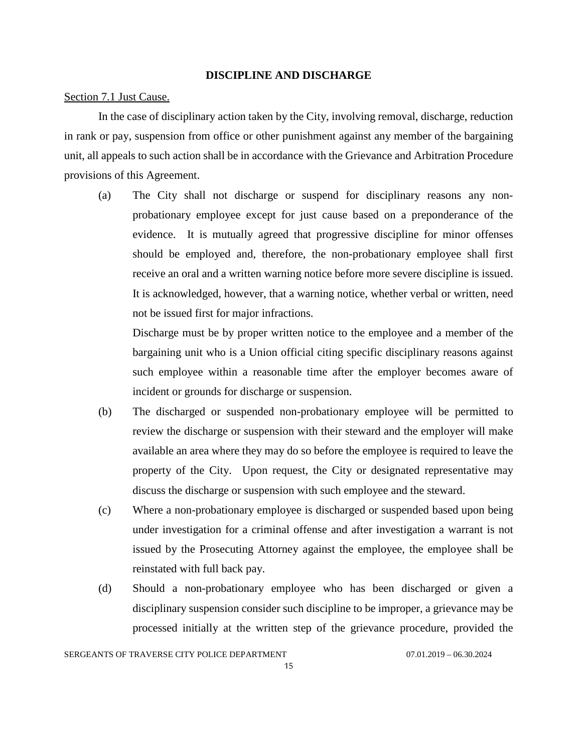#### **DISCIPLINE AND DISCHARGE**

#### <span id="page-14-1"></span><span id="page-14-0"></span>Section 7.1 Just Cause.

In the case of disciplinary action taken by the City, involving removal, discharge, reduction in rank or pay, suspension from office or other punishment against any member of the bargaining unit, all appeals to such action shall be in accordance with the Grievance and Arbitration Procedure provisions of this Agreement.

(a) The City shall not discharge or suspend for disciplinary reasons any nonprobationary employee except for just cause based on a preponderance of the evidence. It is mutually agreed that progressive discipline for minor offenses should be employed and, therefore, the non-probationary employee shall first receive an oral and a written warning notice before more severe discipline is issued. It is acknowledged, however, that a warning notice, whether verbal or written, need not be issued first for major infractions.

Discharge must be by proper written notice to the employee and a member of the bargaining unit who is a Union official citing specific disciplinary reasons against such employee within a reasonable time after the employer becomes aware of incident or grounds for discharge or suspension.

- (b) The discharged or suspended non-probationary employee will be permitted to review the discharge or suspension with their steward and the employer will make available an area where they may do so before the employee is required to leave the property of the City. Upon request, the City or designated representative may discuss the discharge or suspension with such employee and the steward.
- (c) Where a non-probationary employee is discharged or suspended based upon being under investigation for a criminal offense and after investigation a warrant is not issued by the Prosecuting Attorney against the employee, the employee shall be reinstated with full back pay.
- (d) Should a non-probationary employee who has been discharged or given a disciplinary suspension consider such discipline to be improper, a grievance may be processed initially at the written step of the grievance procedure, provided the

SERGEANTS OF TRAVERSE CITY POLICE DEPARTMENT 07.01.2019 - 06.30.2024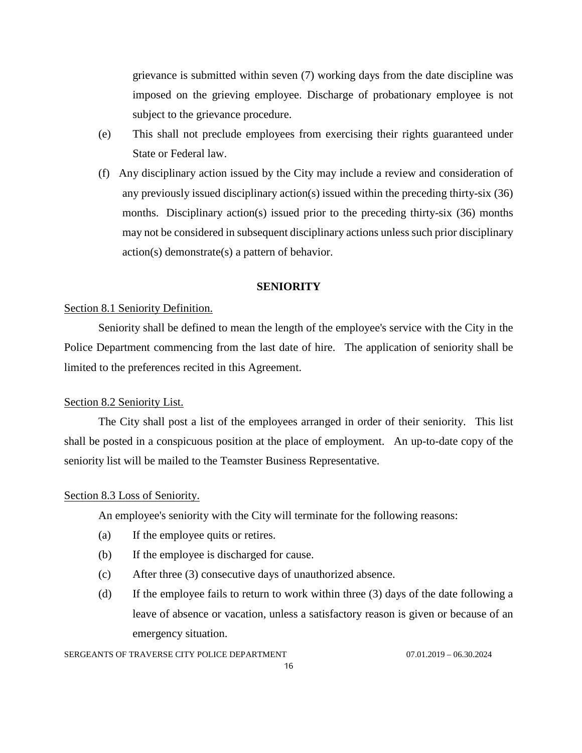grievance is submitted within seven (7) working days from the date discipline was imposed on the grieving employee. Discharge of probationary employee is not subject to the grievance procedure.

- (e) This shall not preclude employees from exercising their rights guaranteed under State or Federal law.
- (f) Any disciplinary action issued by the City may include a review and consideration of any previously issued disciplinary action(s) issued within the preceding thirty-six (36) months. Disciplinary action(s) issued prior to the preceding thirty-six (36) months may not be considered in subsequent disciplinary actions unless such prior disciplinary action(s) demonstrate(s) a pattern of behavior.

#### **SENIORITY**

## <span id="page-15-1"></span><span id="page-15-0"></span>Section 8.1 Seniority Definition.

Seniority shall be defined to mean the length of the employee's service with the City in the Police Department commencing from the last date of hire. The application of seniority shall be limited to the preferences recited in this Agreement.

## <span id="page-15-2"></span>Section 8.2 Seniority List.

The City shall post a list of the employees arranged in order of their seniority. This list shall be posted in a conspicuous position at the place of employment. An up-to-date copy of the seniority list will be mailed to the Teamster Business Representative.

#### <span id="page-15-3"></span>Section 8.3 Loss of Seniority.

An employee's seniority with the City will terminate for the following reasons:

- (a) If the employee quits or retires.
- (b) If the employee is discharged for cause.
- (c) After three (3) consecutive days of unauthorized absence.
- (d) If the employee fails to return to work within three (3) days of the date following a leave of absence or vacation, unless a satisfactory reason is given or because of an emergency situation.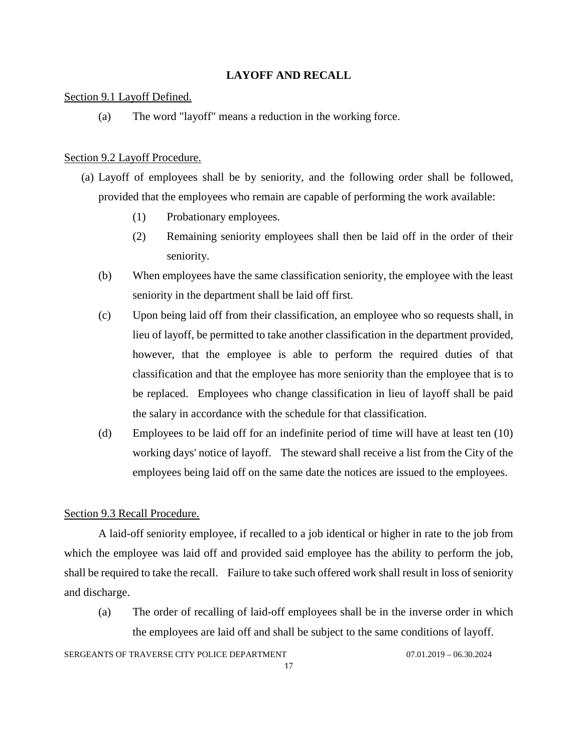## **LAYOFF AND RECALL**

## <span id="page-16-1"></span><span id="page-16-0"></span>Section 9.1 Layoff Defined.

(a) The word "layoff" means a reduction in the working force.

## <span id="page-16-2"></span>Section 9.2 Layoff Procedure.

- (a) Layoff of employees shall be by seniority, and the following order shall be followed, provided that the employees who remain are capable of performing the work available:
	- (1) Probationary employees.
	- (2) Remaining seniority employees shall then be laid off in the order of their seniority.
	- (b) When employees have the same classification seniority, the employee with the least seniority in the department shall be laid off first.
	- (c) Upon being laid off from their classification, an employee who so requests shall, in lieu of layoff, be permitted to take another classification in the department provided, however, that the employee is able to perform the required duties of that classification and that the employee has more seniority than the employee that is to be replaced. Employees who change classification in lieu of layoff shall be paid the salary in accordance with the schedule for that classification.
	- (d) Employees to be laid off for an indefinite period of time will have at least ten (10) working days' notice of layoff. The steward shall receive a list from the City of the employees being laid off on the same date the notices are issued to the employees.

## <span id="page-16-3"></span>Section 9.3 Recall Procedure.

A laid-off seniority employee, if recalled to a job identical or higher in rate to the job from which the employee was laid off and provided said employee has the ability to perform the job, shall be required to take the recall. Failure to take such offered work shall result in loss of seniority and discharge.

(a) The order of recalling of laid-off employees shall be in the inverse order in which the employees are laid off and shall be subject to the same conditions of layoff.

## SERGEANTS OF TRAVERSE CITY POLICE DEPARTMENT 07.01.2019 - 06.30.2024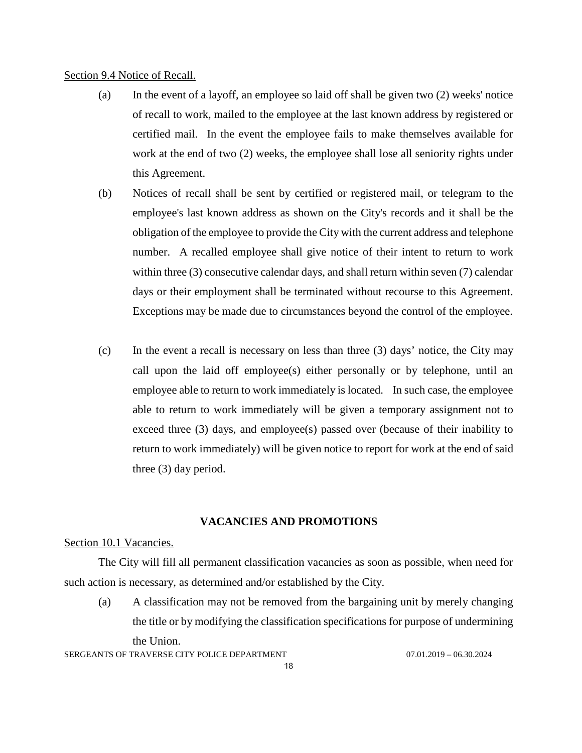### <span id="page-17-0"></span>Section 9.4 Notice of Recall.

- (a) In the event of a layoff, an employee so laid off shall be given two (2) weeks' notice of recall to work, mailed to the employee at the last known address by registered or certified mail. In the event the employee fails to make themselves available for work at the end of two (2) weeks, the employee shall lose all seniority rights under this Agreement.
- (b) Notices of recall shall be sent by certified or registered mail, or telegram to the employee's last known address as shown on the City's records and it shall be the obligation of the employee to provide the City with the current address and telephone number. A recalled employee shall give notice of their intent to return to work within three (3) consecutive calendar days, and shall return within seven (7) calendar days or their employment shall be terminated without recourse to this Agreement. Exceptions may be made due to circumstances beyond the control of the employee.
- (c) In the event a recall is necessary on less than three (3) days' notice, the City may call upon the laid off employee(s) either personally or by telephone, until an employee able to return to work immediately is located. In such case, the employee able to return to work immediately will be given a temporary assignment not to exceed three (3) days, and employee(s) passed over (because of their inability to return to work immediately) will be given notice to report for work at the end of said three (3) day period.

## **VACANCIES AND PROMOTIONS**

#### <span id="page-17-2"></span><span id="page-17-1"></span>Section 10.1 Vacancies.

The City will fill all permanent classification vacancies as soon as possible, when need for such action is necessary, as determined and/or established by the City.

(a) A classification may not be removed from the bargaining unit by merely changing the title or by modifying the classification specifications for purpose of undermining the Union.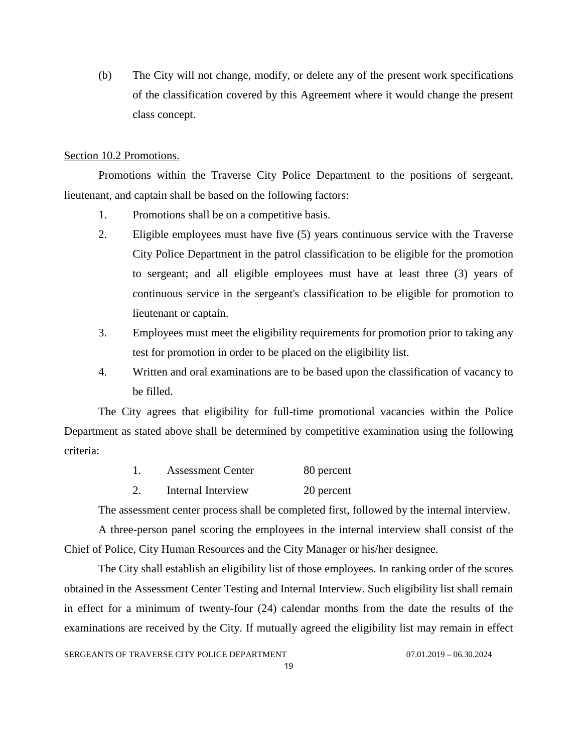(b) The City will not change, modify, or delete any of the present work specifications of the classification covered by this Agreement where it would change the present class concept.

## <span id="page-18-0"></span>Section 10.2 Promotions.

Promotions within the Traverse City Police Department to the positions of sergeant, lieutenant, and captain shall be based on the following factors:

- 1. Promotions shall be on a competitive basis.
- 2. Eligible employees must have five (5) years continuous service with the Traverse City Police Department in the patrol classification to be eligible for the promotion to sergeant; and all eligible employees must have at least three (3) years of continuous service in the sergeant's classification to be eligible for promotion to lieutenant or captain.
- 3. Employees must meet the eligibility requirements for promotion prior to taking any test for promotion in order to be placed on the eligibility list.
- 4. Written and oral examinations are to be based upon the classification of vacancy to be filled.

The City agrees that eligibility for full-time promotional vacancies within the Police Department as stated above shall be determined by competitive examination using the following criteria:

- 1. Assessment Center 80 percent
- 2. Internal Interview 20 percent

The assessment center process shall be completed first, followed by the internal interview.

A three-person panel scoring the employees in the internal interview shall consist of the Chief of Police, City Human Resources and the City Manager or his/her designee.

The City shall establish an eligibility list of those employees. In ranking order of the scores obtained in the Assessment Center Testing and Internal Interview. Such eligibility list shall remain in effect for a minimum of twenty-four (24) calendar months from the date the results of the examinations are received by the City. If mutually agreed the eligibility list may remain in effect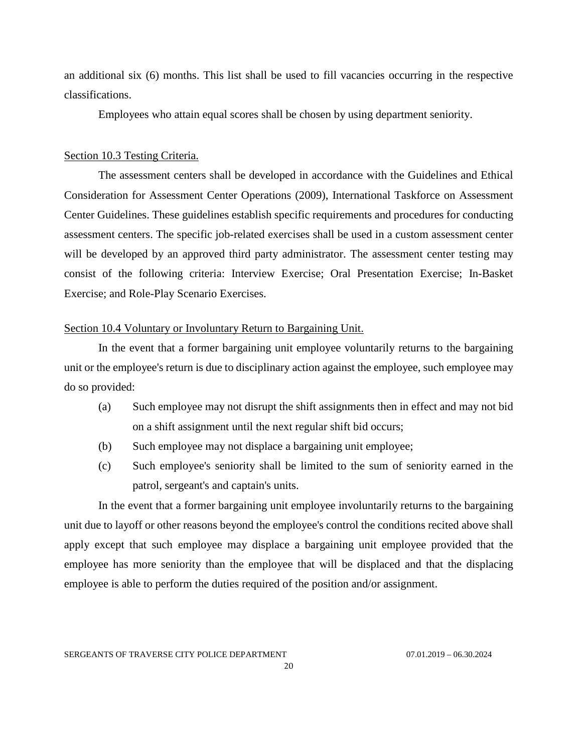an additional six (6) months. This list shall be used to fill vacancies occurring in the respective classifications.

Employees who attain equal scores shall be chosen by using department seniority.

## <span id="page-19-0"></span>Section 10.3 Testing Criteria.

The assessment centers shall be developed in accordance with the Guidelines and Ethical Consideration for Assessment Center Operations (2009), International Taskforce on Assessment Center Guidelines. These guidelines establish specific requirements and procedures for conducting assessment centers. The specific job-related exercises shall be used in a custom assessment center will be developed by an approved third party administrator. The assessment center testing may consist of the following criteria: Interview Exercise; Oral Presentation Exercise; In-Basket Exercise; and Role-Play Scenario Exercises.

## <span id="page-19-1"></span>Section 10.4 Voluntary or Involuntary Return to Bargaining Unit.

In the event that a former bargaining unit employee voluntarily returns to the bargaining unit or the employee's return is due to disciplinary action against the employee, such employee may do so provided:

- (a) Such employee may not disrupt the shift assignments then in effect and may not bid on a shift assignment until the next regular shift bid occurs;
- (b) Such employee may not displace a bargaining unit employee;
- (c) Such employee's seniority shall be limited to the sum of seniority earned in the patrol, sergeant's and captain's units.

In the event that a former bargaining unit employee involuntarily returns to the bargaining unit due to layoff or other reasons beyond the employee's control the conditions recited above shall apply except that such employee may displace a bargaining unit employee provided that the employee has more seniority than the employee that will be displaced and that the displacing employee is able to perform the duties required of the position and/or assignment.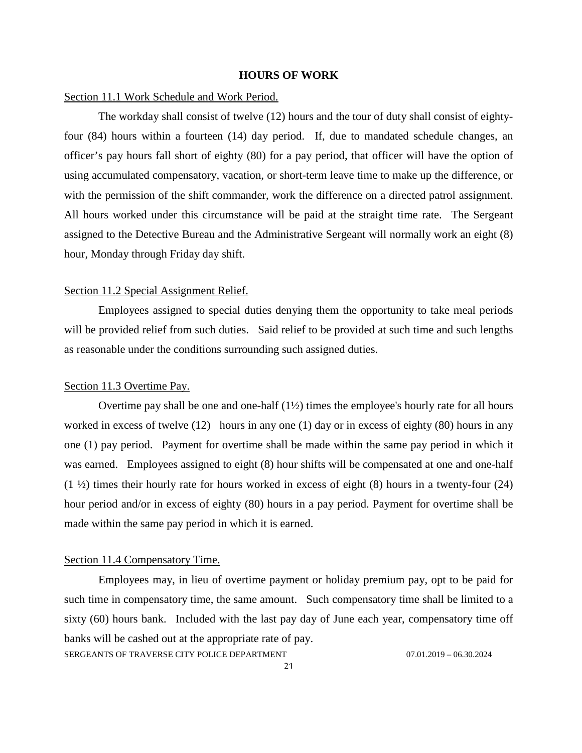#### **HOURS OF WORK**

#### <span id="page-20-1"></span><span id="page-20-0"></span>Section 11.1 Work Schedule and Work Period.

The workday shall consist of twelve (12) hours and the tour of duty shall consist of eightyfour (84) hours within a fourteen (14) day period. If, due to mandated schedule changes, an officer's pay hours fall short of eighty (80) for a pay period, that officer will have the option of using accumulated compensatory, vacation, or short-term leave time to make up the difference, or with the permission of the shift commander, work the difference on a directed patrol assignment. All hours worked under this circumstance will be paid at the straight time rate. The Sergeant assigned to the Detective Bureau and the Administrative Sergeant will normally work an eight (8) hour, Monday through Friday day shift.

#### <span id="page-20-2"></span>Section 11.2 Special Assignment Relief.

Employees assigned to special duties denying them the opportunity to take meal periods will be provided relief from such duties. Said relief to be provided at such time and such lengths as reasonable under the conditions surrounding such assigned duties.

#### <span id="page-20-3"></span>Section 11.3 Overtime Pay.

Overtime pay shall be one and one-half  $(1\frac{1}{2})$  times the employee's hourly rate for all hours worked in excess of twelve (12) hours in any one (1) day or in excess of eighty (80) hours in any one (1) pay period. Payment for overtime shall be made within the same pay period in which it was earned. Employees assigned to eight  $(8)$  hour shifts will be compensated at one and one-half  $(1 \frac{1}{2})$  times their hourly rate for hours worked in excess of eight (8) hours in a twenty-four (24) hour period and/or in excess of eighty (80) hours in a pay period. Payment for overtime shall be made within the same pay period in which it is earned.

#### <span id="page-20-4"></span>Section 11.4 Compensatory Time.

SERGEANTS OF TRAVERSE CITY POLICE DEPARTMENT 07.01.2019 - 06.30.2024 Employees may, in lieu of overtime payment or holiday premium pay, opt to be paid for such time in compensatory time, the same amount. Such compensatory time shall be limited to a sixty (60) hours bank. Included with the last pay day of June each year, compensatory time off banks will be cashed out at the appropriate rate of pay.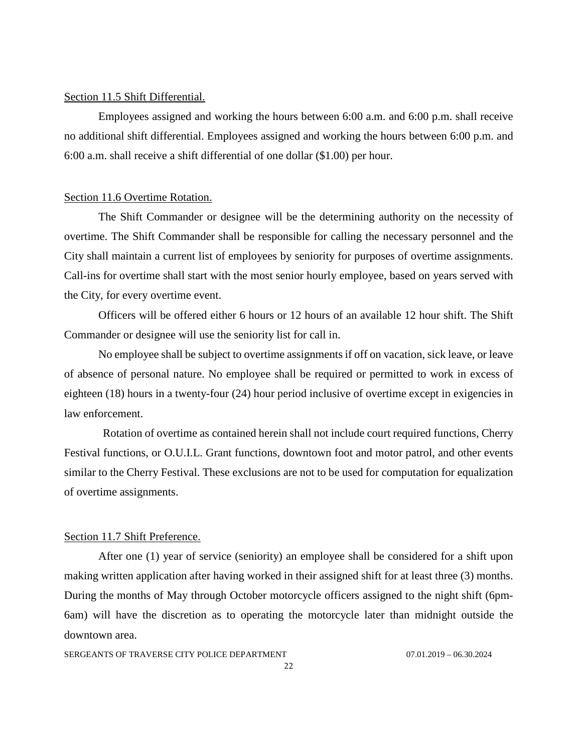#### <span id="page-21-0"></span>Section 11.5 Shift Differential.

Employees assigned and working the hours between 6:00 a.m. and 6:00 p.m. shall receive no additional shift differential. Employees assigned and working the hours between 6:00 p.m. and 6:00 a.m. shall receive a shift differential of one dollar (\$1.00) per hour.

#### <span id="page-21-1"></span>Section 11.6 Overtime Rotation.

The Shift Commander or designee will be the determining authority on the necessity of overtime. The Shift Commander shall be responsible for calling the necessary personnel and the City shall maintain a current list of employees by seniority for purposes of overtime assignments. Call-ins for overtime shall start with the most senior hourly employee, based on years served with the City, for every overtime event.

Officers will be offered either 6 hours or 12 hours of an available 12 hour shift. The Shift Commander or designee will use the seniority list for call in.

No employee shall be subject to overtime assignments if off on vacation, sick leave, or leave of absence of personal nature. No employee shall be required or permitted to work in excess of eighteen (18) hours in a twenty-four (24) hour period inclusive of overtime except in exigencies in law enforcement.

Rotation of overtime as contained herein shall not include court required functions, Cherry Festival functions, or O.U.I.L. Grant functions, downtown foot and motor patrol, and other events similar to the Cherry Festival. These exclusions are not to be used for computation for equalization of overtime assignments.

#### <span id="page-21-2"></span>Section 11.7 Shift Preference.

After one (1) year of service (seniority) an employee shall be considered for a shift upon making written application after having worked in their assigned shift for at least three (3) months. During the months of May through October motorcycle officers assigned to the night shift (6pm-6am) will have the discretion as to operating the motorcycle later than midnight outside the downtown area.

SERGEANTS OF TRAVERSE CITY POLICE DEPARTMENT 07.01.2019 - 06.30.2024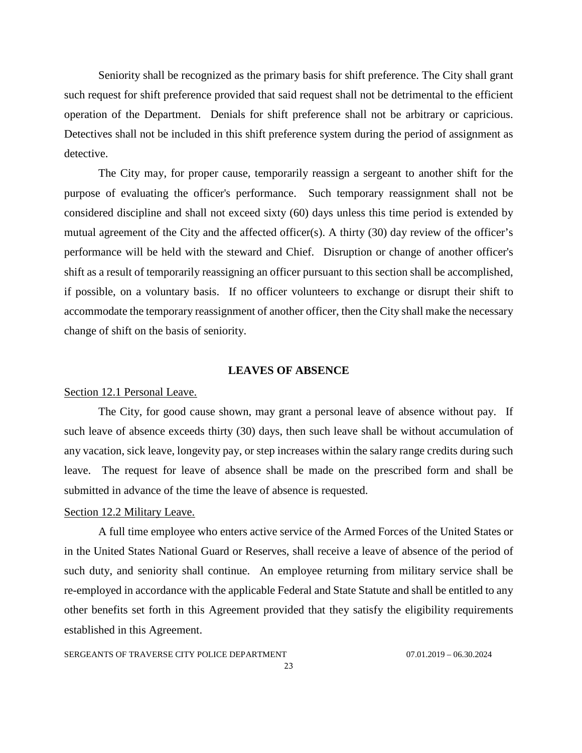Seniority shall be recognized as the primary basis for shift preference. The City shall grant such request for shift preference provided that said request shall not be detrimental to the efficient operation of the Department. Denials for shift preference shall not be arbitrary or capricious. Detectives shall not be included in this shift preference system during the period of assignment as detective.

The City may, for proper cause, temporarily reassign a sergeant to another shift for the purpose of evaluating the officer's performance. Such temporary reassignment shall not be considered discipline and shall not exceed sixty (60) days unless this time period is extended by mutual agreement of the City and the affected officer(s). A thirty (30) day review of the officer's performance will be held with the steward and Chief. Disruption or change of another officer's shift as a result of temporarily reassigning an officer pursuant to this section shall be accomplished, if possible, on a voluntary basis. If no officer volunteers to exchange or disrupt their shift to accommodate the temporary reassignment of another officer, then the City shall make the necessary change of shift on the basis of seniority.

#### **LEAVES OF ABSENCE**

## <span id="page-22-1"></span><span id="page-22-0"></span>Section 12.1 Personal Leave.

The City, for good cause shown, may grant a personal leave of absence without pay. If such leave of absence exceeds thirty (30) days, then such leave shall be without accumulation of any vacation, sick leave, longevity pay, or step increases within the salary range credits during such leave. The request for leave of absence shall be made on the prescribed form and shall be submitted in advance of the time the leave of absence is requested.

#### <span id="page-22-2"></span>Section 12.2 Military Leave.

A full time employee who enters active service of the Armed Forces of the United States or in the United States National Guard or Reserves, shall receive a leave of absence of the period of such duty, and seniority shall continue. An employee returning from military service shall be re-employed in accordance with the applicable Federal and State Statute and shall be entitled to any other benefits set forth in this Agreement provided that they satisfy the eligibility requirements established in this Agreement.

## SERGEANTS OF TRAVERSE CITY POLICE DEPARTMENT 07.01.2019 - 06.30.2024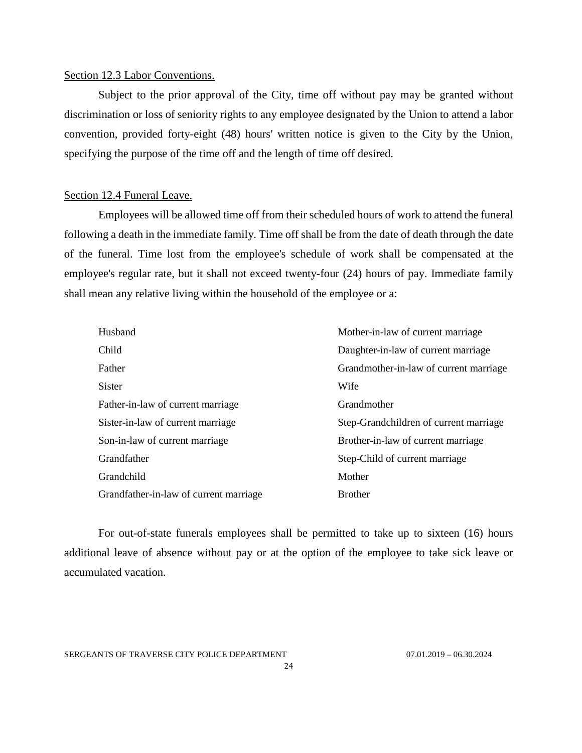## <span id="page-23-0"></span>Section 12.3 Labor Conventions.

Subject to the prior approval of the City, time off without pay may be granted without discrimination or loss of seniority rights to any employee designated by the Union to attend a labor convention, provided forty-eight (48) hours' written notice is given to the City by the Union, specifying the purpose of the time off and the length of time off desired.

## <span id="page-23-1"></span>Section 12.4 Funeral Leave.

Employees will be allowed time off from their scheduled hours of work to attend the funeral following a death in the immediate family. Time off shall be from the date of death through the date of the funeral. Time lost from the employee's schedule of work shall be compensated at the employee's regular rate, but it shall not exceed twenty-four (24) hours of pay. Immediate family shall mean any relative living within the household of the employee or a:

| Husband                                | Mother-in-law of current marriage      |
|----------------------------------------|----------------------------------------|
| Child                                  | Daughter-in-law of current marriage    |
| Father                                 | Grandmother-in-law of current marriage |
| <b>Sister</b>                          | Wife                                   |
| Father-in-law of current marriage      | Grandmother                            |
| Sister-in-law of current marriage      | Step-Grandchildren of current marriage |
| Son-in-law of current marriage         | Brother-in-law of current marriage     |
| Grandfather                            | Step-Child of current marriage         |
| Grandchild                             | Mother                                 |
| Grandfather-in-law of current marriage | <b>Brother</b>                         |

For out-of-state funerals employees shall be permitted to take up to sixteen (16) hours additional leave of absence without pay or at the option of the employee to take sick leave or accumulated vacation.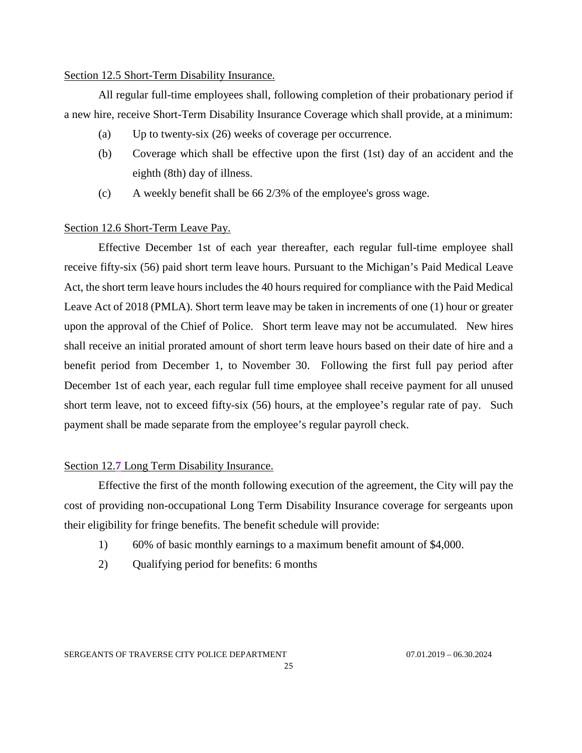## <span id="page-24-0"></span>Section 12.5 Short-Term Disability Insurance.

All regular full-time employees shall, following completion of their probationary period if a new hire, receive Short-Term Disability Insurance Coverage which shall provide, at a minimum:

- (a) Up to twenty-six (26) weeks of coverage per occurrence.
- (b) Coverage which shall be effective upon the first (1st) day of an accident and the eighth (8th) day of illness.
- (c) A weekly benefit shall be 66 2/3% of the employee's gross wage.

## <span id="page-24-1"></span>Section 12.6 Short-Term Leave Pay.

Effective December 1st of each year thereafter, each regular full-time employee shall receive fifty-six (56) paid short term leave hours. Pursuant to the Michigan's Paid Medical Leave Act, the short term leave hours includes the 40 hours required for compliance with the Paid Medical Leave Act of 2018 (PMLA). Short term leave may be taken in increments of one (1) hour or greater upon the approval of the Chief of Police. Short term leave may not be accumulated. New hires shall receive an initial prorated amount of short term leave hours based on their date of hire and a benefit period from December 1, to November 30. Following the first full pay period after December 1st of each year, each regular full time employee shall receive payment for all unused short term leave, not to exceed fifty-six (56) hours, at the employee's regular rate of pay. Such payment shall be made separate from the employee's regular payroll check.

## <span id="page-24-2"></span>Section 12.**7** Long Term Disability Insurance.

Effective the first of the month following execution of the agreement, the City will pay the cost of providing non-occupational Long Term Disability Insurance coverage for sergeants upon their eligibility for fringe benefits. The benefit schedule will provide:

- 1) 60% of basic monthly earnings to a maximum benefit amount of \$4,000.
- 2) Qualifying period for benefits: 6 months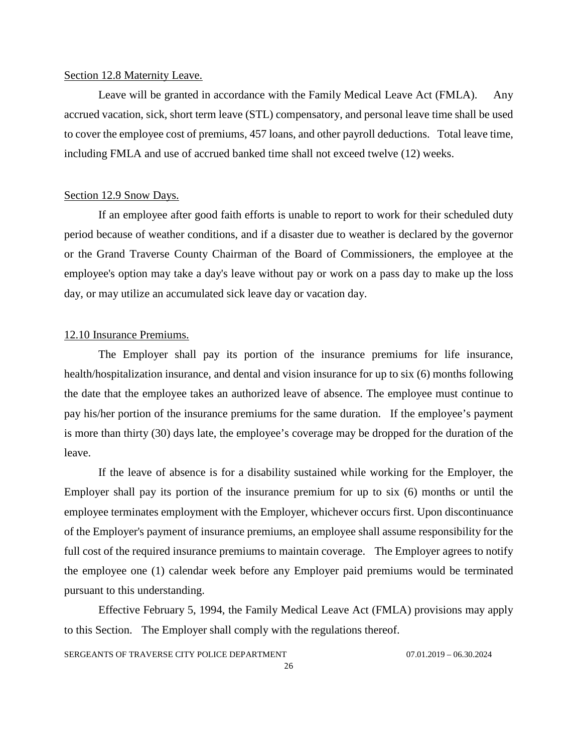#### <span id="page-25-0"></span>Section 12.8 Maternity Leave.

Leave will be granted in accordance with the Family Medical Leave Act (FMLA). Any accrued vacation, sick, short term leave (STL) compensatory, and personal leave time shall be used to cover the employee cost of premiums, 457 loans, and other payroll deductions. Total leave time, including FMLA and use of accrued banked time shall not exceed twelve (12) weeks.

#### <span id="page-25-1"></span>Section 12.9 Snow Days.

If an employee after good faith efforts is unable to report to work for their scheduled duty period because of weather conditions, and if a disaster due to weather is declared by the governor or the Grand Traverse County Chairman of the Board of Commissioners, the employee at the employee's option may take a day's leave without pay or work on a pass day to make up the loss day, or may utilize an accumulated sick leave day or vacation day.

## <span id="page-25-2"></span>12.10 Insurance Premiums.

The Employer shall pay its portion of the insurance premiums for life insurance, health/hospitalization insurance, and dental and vision insurance for up to six (6) months following the date that the employee takes an authorized leave of absence. The employee must continue to pay his/her portion of the insurance premiums for the same duration. If the employee's payment is more than thirty (30) days late, the employee's coverage may be dropped for the duration of the leave.

If the leave of absence is for a disability sustained while working for the Employer, the Employer shall pay its portion of the insurance premium for up to six (6) months or until the employee terminates employment with the Employer, whichever occurs first. Upon discontinuance of the Employer's payment of insurance premiums, an employee shall assume responsibility for the full cost of the required insurance premiums to maintain coverage. The Employer agrees to notify the employee one (1) calendar week before any Employer paid premiums would be terminated pursuant to this understanding.

Effective February 5, 1994, the Family Medical Leave Act (FMLA) provisions may apply to this Section. The Employer shall comply with the regulations thereof.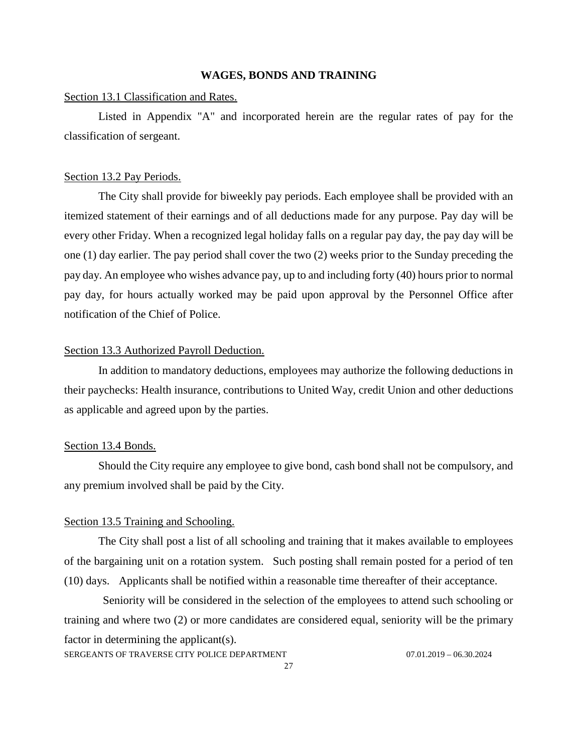#### **WAGES, BONDS AND TRAINING**

#### <span id="page-26-1"></span><span id="page-26-0"></span>Section 13.1 Classification and Rates.

Listed in Appendix "A" and incorporated herein are the regular rates of pay for the classification of sergeant.

#### <span id="page-26-2"></span>Section 13.2 Pay Periods.

The City shall provide for biweekly pay periods. Each employee shall be provided with an itemized statement of their earnings and of all deductions made for any purpose. Pay day will be every other Friday. When a recognized legal holiday falls on a regular pay day, the pay day will be one (1) day earlier. The pay period shall cover the two (2) weeks prior to the Sunday preceding the pay day. An employee who wishes advance pay, up to and including forty (40) hours prior to normal pay day, for hours actually worked may be paid upon approval by the Personnel Office after notification of the Chief of Police.

## <span id="page-26-3"></span>Section 13.3 Authorized Payroll Deduction.

In addition to mandatory deductions, employees may authorize the following deductions in their paychecks: Health insurance, contributions to United Way, credit Union and other deductions as applicable and agreed upon by the parties.

### <span id="page-26-4"></span>Section 13.4 Bonds.

Should the City require any employee to give bond, cash bond shall not be compulsory, and any premium involved shall be paid by the City.

#### <span id="page-26-5"></span>Section 13.5 Training and Schooling.

The City shall post a list of all schooling and training that it makes available to employees of the bargaining unit on a rotation system. Such posting shall remain posted for a period of ten (10) days. Applicants shall be notified within a reasonable time thereafter of their acceptance.

Seniority will be considered in the selection of the employees to attend such schooling or training and where two (2) or more candidates are considered equal, seniority will be the primary factor in determining the applicant(s).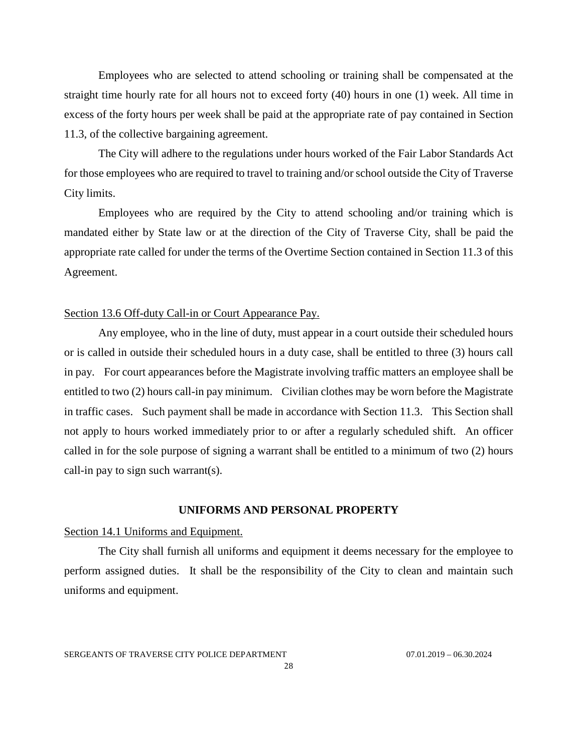Employees who are selected to attend schooling or training shall be compensated at the straight time hourly rate for all hours not to exceed forty (40) hours in one (1) week. All time in excess of the forty hours per week shall be paid at the appropriate rate of pay contained in Section 11.3, of the collective bargaining agreement.

The City will adhere to the regulations under hours worked of the Fair Labor Standards Act for those employees who are required to travel to training and/or school outside the City of Traverse City limits.

Employees who are required by the City to attend schooling and/or training which is mandated either by State law or at the direction of the City of Traverse City, shall be paid the appropriate rate called for under the terms of the Overtime Section contained in Section 11.3 of this Agreement.

## <span id="page-27-0"></span>Section 13.6 Off-duty Call-in or Court Appearance Pay.

Any employee, who in the line of duty, must appear in a court outside their scheduled hours or is called in outside their scheduled hours in a duty case, shall be entitled to three (3) hours call in pay. For court appearances before the Magistrate involving traffic matters an employee shall be entitled to two (2) hours call-in pay minimum. Civilian clothes may be worn before the Magistrate in traffic cases. Such payment shall be made in accordance with Section 11.3. This Section shall not apply to hours worked immediately prior to or after a regularly scheduled shift. An officer called in for the sole purpose of signing a warrant shall be entitled to a minimum of two (2) hours call-in pay to sign such warrant(s).

#### **UNIFORMS AND PERSONAL PROPERTY**

## <span id="page-27-2"></span><span id="page-27-1"></span>Section 14.1 Uniforms and Equipment.

The City shall furnish all uniforms and equipment it deems necessary for the employee to perform assigned duties. It shall be the responsibility of the City to clean and maintain such uniforms and equipment.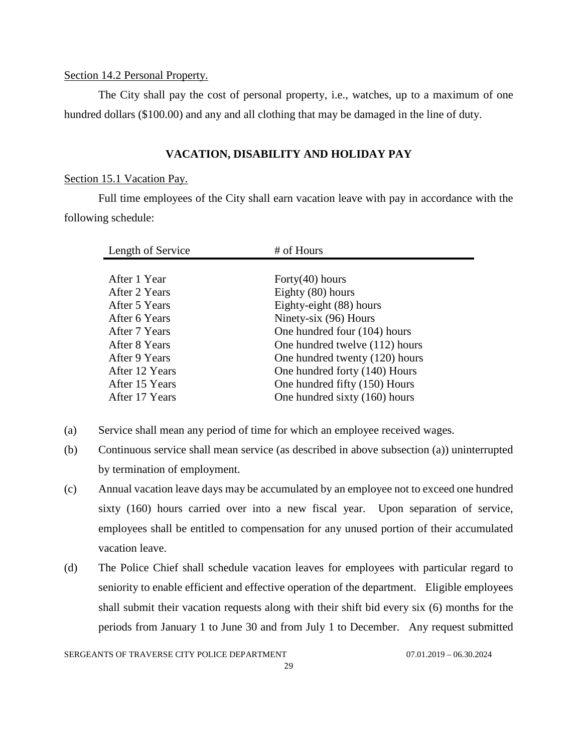## <span id="page-28-0"></span>Section 14.2 Personal Property.

The City shall pay the cost of personal property, i.e., watches, up to a maximum of one hundred dollars (\$100.00) and any and all clothing that may be damaged in the line of duty.

## **VACATION, DISABILITY AND HOLIDAY PAY**

## <span id="page-28-2"></span><span id="page-28-1"></span>Section 15.1 Vacation Pay.

Full time employees of the City shall earn vacation leave with pay in accordance with the following schedule:

| Length of Service | # of Hours                     |
|-------------------|--------------------------------|
|                   |                                |
| After 1 Year      | Forty $(40)$ hours             |
| After 2 Years     | Eighty (80) hours              |
| After 5 Years     | Eighty-eight (88) hours        |
| After 6 Years     | Ninety-six (96) Hours          |
| After 7 Years     | One hundred four (104) hours   |
| After 8 Years     | One hundred twelve (112) hours |
| After 9 Years     | One hundred twenty (120) hours |
| After 12 Years    | One hundred forty (140) Hours  |
| After 15 Years    | One hundred fifty (150) Hours  |
| After 17 Years    | One hundred sixty (160) hours  |

- (a) Service shall mean any period of time for which an employee received wages.
- (b) Continuous service shall mean service (as described in above subsection (a)) uninterrupted by termination of employment.
- (c) Annual vacation leave days may be accumulated by an employee not to exceed one hundred sixty (160) hours carried over into a new fiscal year. Upon separation of service, employees shall be entitled to compensation for any unused portion of their accumulated vacation leave.
- (d) The Police Chief shall schedule vacation leaves for employees with particular regard to seniority to enable efficient and effective operation of the department. Eligible employees shall submit their vacation requests along with their shift bid every six (6) months for the periods from January 1 to June 30 and from July 1 to December. Any request submitted

SERGEANTS OF TRAVERSE CITY POLICE DEPARTMENT 07.01.2019 - 06.30.2024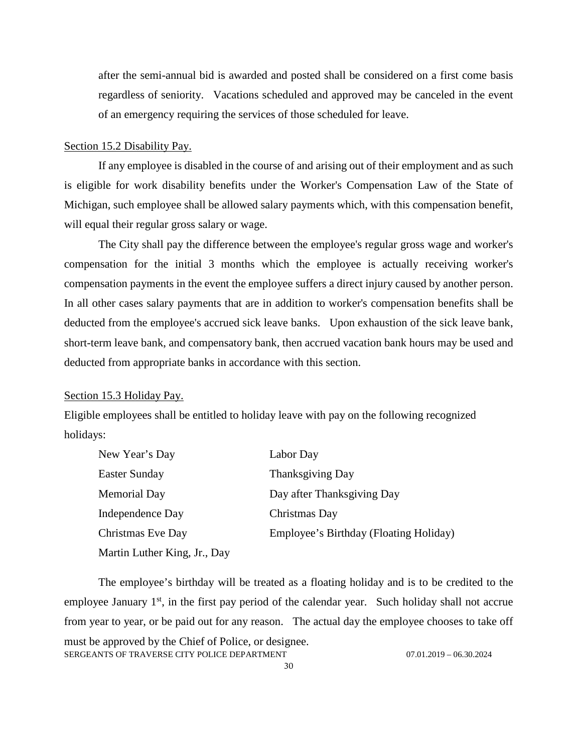after the semi-annual bid is awarded and posted shall be considered on a first come basis regardless of seniority. Vacations scheduled and approved may be canceled in the event of an emergency requiring the services of those scheduled for leave.

#### <span id="page-29-0"></span>Section 15.2 Disability Pay.

If any employee is disabled in the course of and arising out of their employment and as such is eligible for work disability benefits under the Worker's Compensation Law of the State of Michigan, such employee shall be allowed salary payments which, with this compensation benefit, will equal their regular gross salary or wage.

The City shall pay the difference between the employee's regular gross wage and worker's compensation for the initial 3 months which the employee is actually receiving worker's compensation payments in the event the employee suffers a direct injury caused by another person. In all other cases salary payments that are in addition to worker's compensation benefits shall be deducted from the employee's accrued sick leave banks. Upon exhaustion of the sick leave bank, short-term leave bank, and compensatory bank, then accrued vacation bank hours may be used and deducted from appropriate banks in accordance with this section.

#### <span id="page-29-1"></span>Section 15.3 Holiday Pay.

Eligible employees shall be entitled to holiday leave with pay on the following recognized holidays:

| New Year's Day               | Labor Day                              |
|------------------------------|----------------------------------------|
| <b>Easter Sunday</b>         | <b>Thanksgiving Day</b>                |
| <b>Memorial Day</b>          | Day after Thanksgiving Day             |
| Independence Day             | Christmas Day                          |
| Christmas Eve Day            | Employee's Birthday (Floating Holiday) |
| Martin Luther King, Jr., Day |                                        |

SERGEANTS OF TRAVERSE CITY POLICE DEPARTMENT 07.01.2019 - 06.30.2024 The employee's birthday will be treated as a floating holiday and is to be credited to the employee January  $1<sup>st</sup>$ , in the first pay period of the calendar year. Such holiday shall not accrue from year to year, or be paid out for any reason. The actual day the employee chooses to take off must be approved by the Chief of Police, or designee.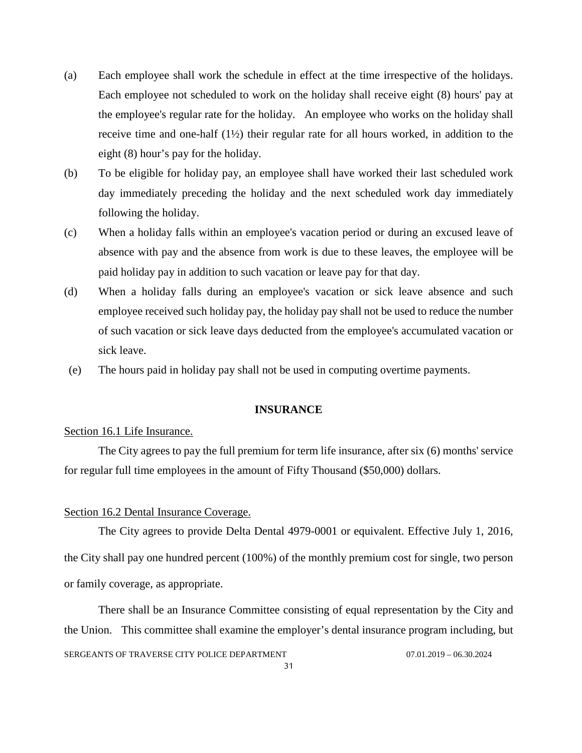- (a) Each employee shall work the schedule in effect at the time irrespective of the holidays. Each employee not scheduled to work on the holiday shall receive eight (8) hours' pay at the employee's regular rate for the holiday. An employee who works on the holiday shall receive time and one-half (1½) their regular rate for all hours worked, in addition to the eight (8) hour's pay for the holiday.
- (b) To be eligible for holiday pay, an employee shall have worked their last scheduled work day immediately preceding the holiday and the next scheduled work day immediately following the holiday.
- (c) When a holiday falls within an employee's vacation period or during an excused leave of absence with pay and the absence from work is due to these leaves, the employee will be paid holiday pay in addition to such vacation or leave pay for that day.
- (d) When a holiday falls during an employee's vacation or sick leave absence and such employee received such holiday pay, the holiday pay shall not be used to reduce the number of such vacation or sick leave days deducted from the employee's accumulated vacation or sick leave.
- (e) The hours paid in holiday pay shall not be used in computing overtime payments.

#### **INSURANCE**

## <span id="page-30-1"></span><span id="page-30-0"></span>Section 16.1 Life Insurance.

The City agrees to pay the full premium for term life insurance, after six (6) months' service for regular full time employees in the amount of Fifty Thousand (\$50,000) dollars.

#### <span id="page-30-2"></span>Section 16.2 Dental Insurance Coverage.

The City agrees to provide Delta Dental 4979-0001 or equivalent. Effective July 1, 2016, the City shall pay one hundred percent (100%) of the monthly premium cost for single, two person or family coverage, as appropriate.

SERGEANTS OF TRAVERSE CITY POLICE DEPARTMENT 07.01.2019 - 06.30.2024 There shall be an Insurance Committee consisting of equal representation by the City and the Union. This committee shall examine the employer's dental insurance program including, but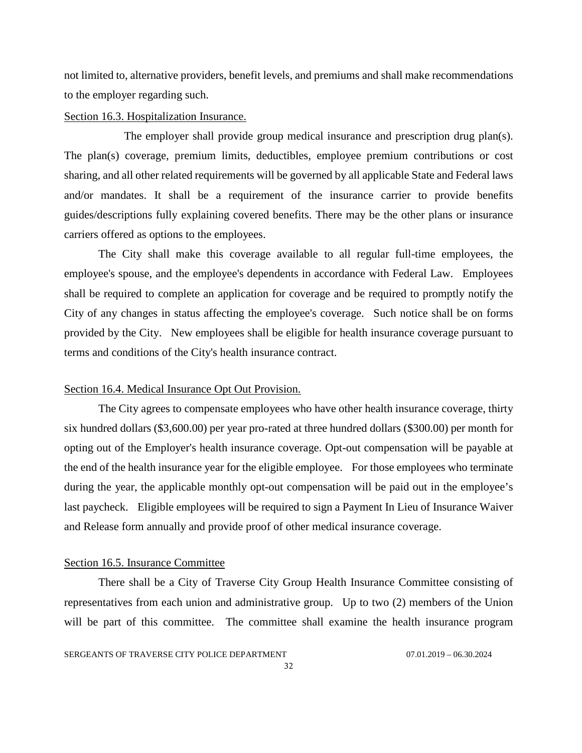not limited to, alternative providers, benefit levels, and premiums and shall make recommendations to the employer regarding such.

#### <span id="page-31-0"></span>Section 16.3. Hospitalization Insurance.

The employer shall provide group medical insurance and prescription drug plan(s). The plan(s) coverage, premium limits, deductibles, employee premium contributions or cost sharing, and all other related requirements will be governed by all applicable State and Federal laws and/or mandates. It shall be a requirement of the insurance carrier to provide benefits guides/descriptions fully explaining covered benefits. There may be the other plans or insurance carriers offered as options to the employees.

The City shall make this coverage available to all regular full-time employees, the employee's spouse, and the employee's dependents in accordance with Federal Law. Employees shall be required to complete an application for coverage and be required to promptly notify the City of any changes in status affecting the employee's coverage. Such notice shall be on forms provided by the City. New employees shall be eligible for health insurance coverage pursuant to terms and conditions of the City's health insurance contract.

#### <span id="page-31-1"></span>Section 16.4. Medical Insurance Opt Out Provision.

The City agrees to compensate employees who have other health insurance coverage, thirty six hundred dollars (\$3,600.00) per year pro-rated at three hundred dollars (\$300.00) per month for opting out of the Employer's health insurance coverage. Opt-out compensation will be payable at the end of the health insurance year for the eligible employee. For those employees who terminate during the year, the applicable monthly opt-out compensation will be paid out in the employee's last paycheck. Eligible employees will be required to sign a Payment In Lieu of Insurance Waiver and Release form annually and provide proof of other medical insurance coverage.

#### <span id="page-31-2"></span>Section 16.5. Insurance Committee

There shall be a City of Traverse City Group Health Insurance Committee consisting of representatives from each union and administrative group. Up to two (2) members of the Union will be part of this committee. The committee shall examine the health insurance program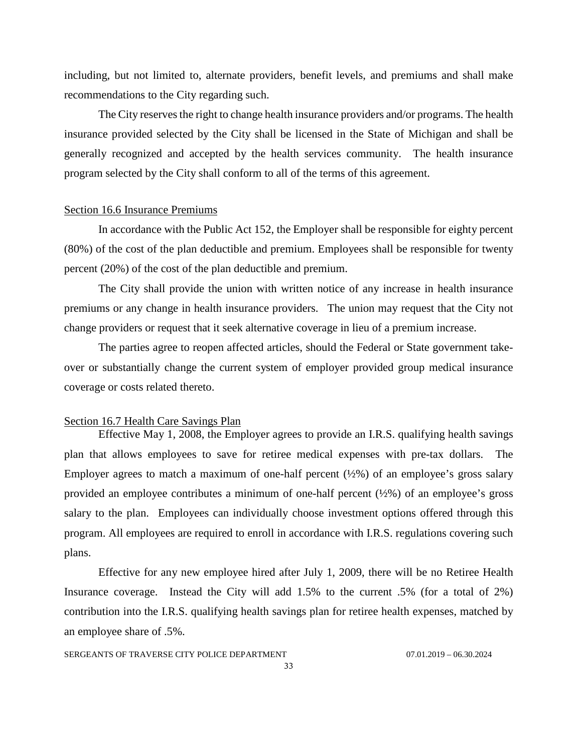including, but not limited to, alternate providers, benefit levels, and premiums and shall make recommendations to the City regarding such.

The City reserves the right to change health insurance providers and/or programs. The health insurance provided selected by the City shall be licensed in the State of Michigan and shall be generally recognized and accepted by the health services community. The health insurance program selected by the City shall conform to all of the terms of this agreement.

#### <span id="page-32-0"></span>Section 16.6 Insurance Premiums

In accordance with the Public Act 152, the Employer shall be responsible for eighty percent (80%) of the cost of the plan deductible and premium. Employees shall be responsible for twenty percent (20%) of the cost of the plan deductible and premium.

The City shall provide the union with written notice of any increase in health insurance premiums or any change in health insurance providers. The union may request that the City not change providers or request that it seek alternative coverage in lieu of a premium increase.

The parties agree to reopen affected articles, should the Federal or State government takeover or substantially change the current system of employer provided group medical insurance coverage or costs related thereto.

#### <span id="page-32-1"></span>Section 16.7 Health Care Savings Plan

Effective May 1, 2008, the Employer agrees to provide an I.R.S. qualifying health savings plan that allows employees to save for retiree medical expenses with pre-tax dollars. The Employer agrees to match a maximum of one-half percent  $(\frac{1}{2}\%)$  of an employee's gross salary provided an employee contributes a minimum of one-half percent (½%) of an employee's gross salary to the plan. Employees can individually choose investment options offered through this program. All employees are required to enroll in accordance with I.R.S. regulations covering such plans.

Effective for any new employee hired after July 1, 2009, there will be no Retiree Health Insurance coverage. Instead the City will add 1.5% to the current .5% (for a total of 2%) contribution into the I.R.S. qualifying health savings plan for retiree health expenses, matched by an employee share of .5%.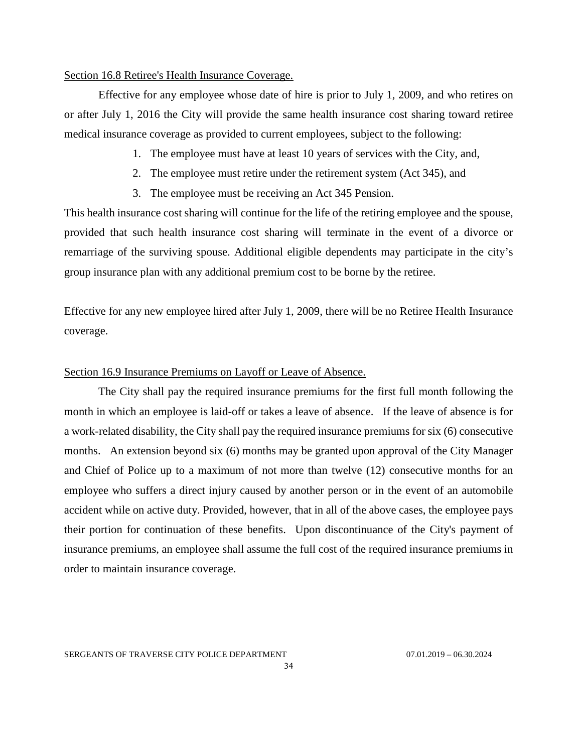## <span id="page-33-0"></span>Section 16.8 Retiree's Health Insurance Coverage.

Effective for any employee whose date of hire is prior to July 1, 2009, and who retires on or after July 1, 2016 the City will provide the same health insurance cost sharing toward retiree medical insurance coverage as provided to current employees, subject to the following:

- 1. The employee must have at least 10 years of services with the City, and,
- 2. The employee must retire under the retirement system (Act 345), and
- 3. The employee must be receiving an Act 345 Pension.

This health insurance cost sharing will continue for the life of the retiring employee and the spouse, provided that such health insurance cost sharing will terminate in the event of a divorce or remarriage of the surviving spouse. Additional eligible dependents may participate in the city's group insurance plan with any additional premium cost to be borne by the retiree.

Effective for any new employee hired after July 1, 2009, there will be no Retiree Health Insurance coverage.

## <span id="page-33-1"></span>Section 16.9 Insurance Premiums on Layoff or Leave of Absence.

The City shall pay the required insurance premiums for the first full month following the month in which an employee is laid-off or takes a leave of absence. If the leave of absence is for a work-related disability, the City shall pay the required insurance premiums for six (6) consecutive months. An extension beyond six (6) months may be granted upon approval of the City Manager and Chief of Police up to a maximum of not more than twelve (12) consecutive months for an employee who suffers a direct injury caused by another person or in the event of an automobile accident while on active duty. Provided, however, that in all of the above cases, the employee pays their portion for continuation of these benefits. Upon discontinuance of the City's payment of insurance premiums, an employee shall assume the full cost of the required insurance premiums in order to maintain insurance coverage.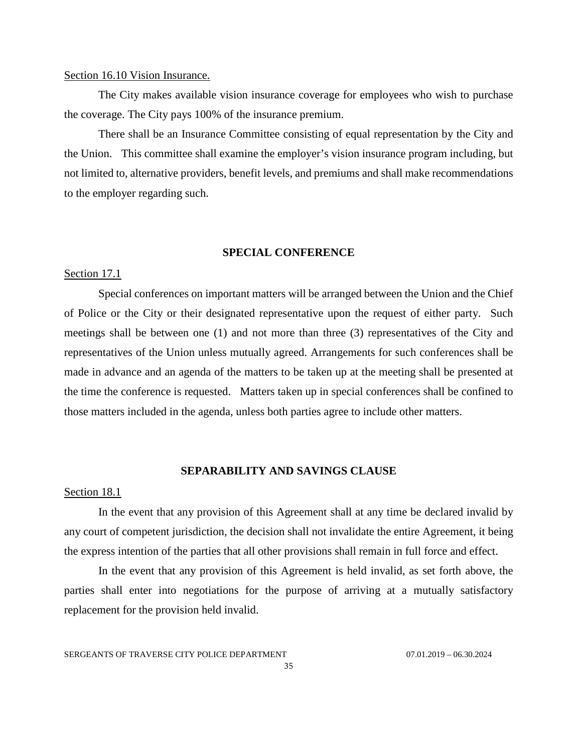### <span id="page-34-0"></span>Section 16.10 Vision Insurance.

The City makes available vision insurance coverage for employees who wish to purchase the coverage. The City pays 100% of the insurance premium.

There shall be an Insurance Committee consisting of equal representation by the City and the Union. This committee shall examine the employer's vision insurance program including, but not limited to, alternative providers, benefit levels, and premiums and shall make recommendations to the employer regarding such.

## **SPECIAL CONFERENCE**

#### <span id="page-34-2"></span><span id="page-34-1"></span>Section 17.1

Special conferences on important matters will be arranged between the Union and the Chief of Police or the City or their designated representative upon the request of either party. Such meetings shall be between one (1) and not more than three (3) representatives of the City and representatives of the Union unless mutually agreed. Arrangements for such conferences shall be made in advance and an agenda of the matters to be taken up at the meeting shall be presented at the time the conference is requested. Matters taken up in special conferences shall be confined to those matters included in the agenda, unless both parties agree to include other matters.

## **SEPARABILITY AND SAVINGS CLAUSE**

#### <span id="page-34-4"></span><span id="page-34-3"></span>Section 18.1

In the event that any provision of this Agreement shall at any time be declared invalid by any court of competent jurisdiction, the decision shall not invalidate the entire Agreement, it being the express intention of the parties that all other provisions shall remain in full force and effect.

In the event that any provision of this Agreement is held invalid, as set forth above, the parties shall enter into negotiations for the purpose of arriving at a mutually satisfactory replacement for the provision held invalid.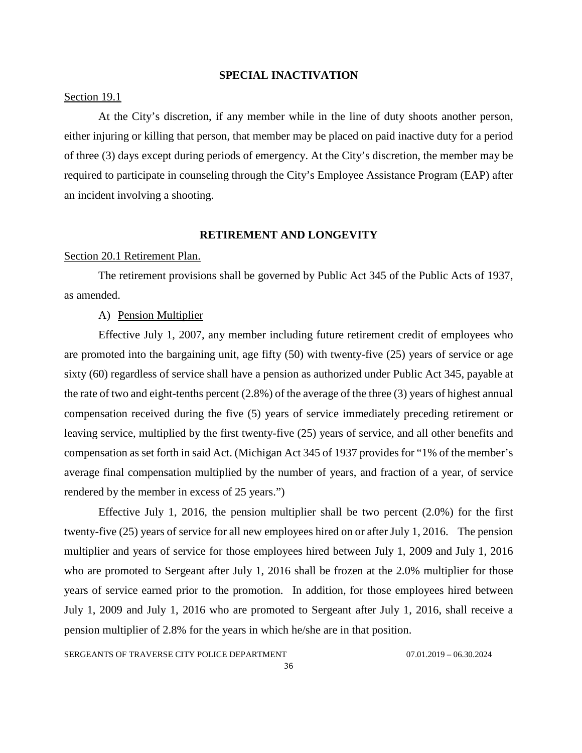#### **SPECIAL INACTIVATION**

#### <span id="page-35-1"></span><span id="page-35-0"></span>Section 19.1

At the City's discretion, if any member while in the line of duty shoots another person, either injuring or killing that person, that member may be placed on paid inactive duty for a period of three (3) days except during periods of emergency. At the City's discretion, the member may be required to participate in counseling through the City's Employee Assistance Program (EAP) after an incident involving a shooting.

#### **RETIREMENT AND LONGEVITY**

#### <span id="page-35-3"></span><span id="page-35-2"></span>Section 20.1 Retirement Plan.

The retirement provisions shall be governed by Public Act 345 of the Public Acts of 1937, as amended.

## A) Pension Multiplier

Effective July 1, 2007, any member including future retirement credit of employees who are promoted into the bargaining unit, age fifty (50) with twenty-five (25) years of service or age sixty (60) regardless of service shall have a pension as authorized under Public Act 345, payable at the rate of two and eight-tenths percent (2.8%) of the average of the three (3) years of highest annual compensation received during the five (5) years of service immediately preceding retirement or leaving service, multiplied by the first twenty-five (25) years of service, and all other benefits and compensation as set forth in said Act. (Michigan Act 345 of 1937 provides for "1% of the member's average final compensation multiplied by the number of years, and fraction of a year, of service rendered by the member in excess of 25 years.")

Effective July 1, 2016, the pension multiplier shall be two percent (2.0%) for the first twenty-five (25) years of service for all new employees hired on or after July 1, 2016. The pension multiplier and years of service for those employees hired between July 1, 2009 and July 1, 2016 who are promoted to Sergeant after July 1, 2016 shall be frozen at the 2.0% multiplier for those years of service earned prior to the promotion. In addition, for those employees hired between July 1, 2009 and July 1, 2016 who are promoted to Sergeant after July 1, 2016, shall receive a pension multiplier of 2.8% for the years in which he/she are in that position.

SERGEANTS OF TRAVERSE CITY POLICE DEPARTMENT 07.01.2019 - 06.30.2024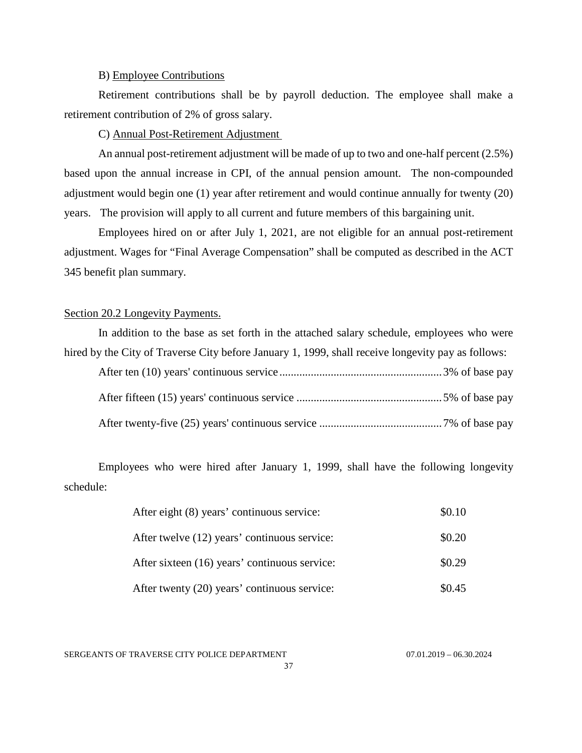## B) Employee Contributions

Retirement contributions shall be by payroll deduction. The employee shall make a retirement contribution of 2% of gross salary.

C) Annual Post-Retirement Adjustment

An annual post-retirement adjustment will be made of up to two and one-half percent (2.5%) based upon the annual increase in CPI, of the annual pension amount. The non-compounded adjustment would begin one (1) year after retirement and would continue annually for twenty (20) years. The provision will apply to all current and future members of this bargaining unit.

Employees hired on or after July 1, 2021, are not eligible for an annual post-retirement adjustment. Wages for "Final Average Compensation" shall be computed as described in the ACT 345 benefit plan summary.

## <span id="page-36-0"></span>Section 20.2 Longevity Payments.

| In addition to the base as set forth in the attached salary schedule, employees who were           |  |
|----------------------------------------------------------------------------------------------------|--|
| hired by the City of Traverse City before January 1, 1999, shall receive longevity pay as follows: |  |
|                                                                                                    |  |
|                                                                                                    |  |
|                                                                                                    |  |

Employees who were hired after January 1, 1999, shall have the following longevity schedule:

| After eight (8) years' continuous service:    | \$0.10 |
|-----------------------------------------------|--------|
| After twelve (12) years' continuous service:  | \$0.20 |
| After sixteen (16) years' continuous service: | \$0.29 |
| After twenty (20) years' continuous service:  | \$0.45 |

SERGEANTS OF TRAVERSE CITY POLICE DEPARTMENT 07.01.2019 - 06.30.2024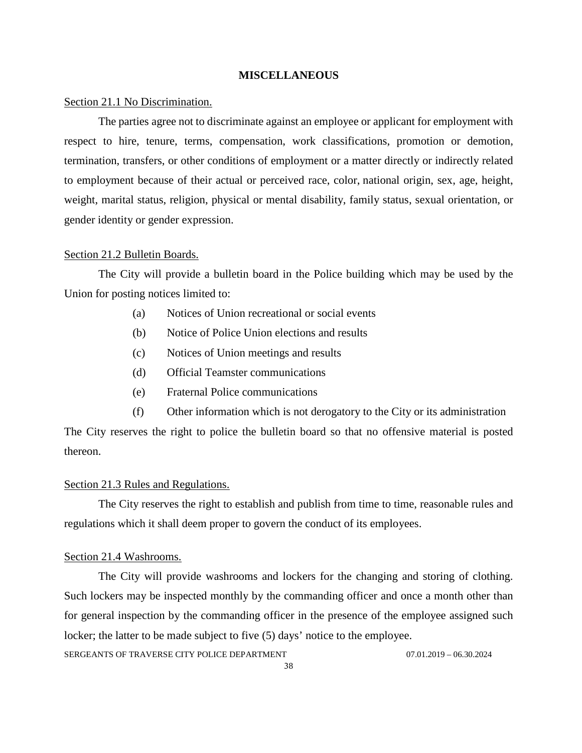#### **MISCELLANEOUS**

#### <span id="page-37-1"></span><span id="page-37-0"></span>Section 21.1 No Discrimination.

The parties agree not to discriminate against an employee or applicant for employment with respect to hire, tenure, terms, compensation, work classifications, promotion or demotion, termination, transfers, or other conditions of employment or a matter directly or indirectly related to employment because of their actual or perceived race, color, national origin, sex, age, height, weight, marital status, religion, physical or mental disability, family status, sexual orientation, or gender identity or gender expression.

#### <span id="page-37-2"></span>Section 21.2 Bulletin Boards.

The City will provide a bulletin board in the Police building which may be used by the Union for posting notices limited to:

- (a) Notices of Union recreational or social events
- (b) Notice of Police Union elections and results
- (c) Notices of Union meetings and results
- (d) Official Teamster communications
- (e) Fraternal Police communications
- (f) Other information which is not derogatory to the City or its administration

The City reserves the right to police the bulletin board so that no offensive material is posted thereon.

#### <span id="page-37-3"></span>Section 21.3 Rules and Regulations.

The City reserves the right to establish and publish from time to time, reasonable rules and regulations which it shall deem proper to govern the conduct of its employees.

#### <span id="page-37-4"></span>Section 21.4 Washrooms.

The City will provide washrooms and lockers for the changing and storing of clothing. Such lockers may be inspected monthly by the commanding officer and once a month other than for general inspection by the commanding officer in the presence of the employee assigned such locker; the latter to be made subject to five (5) days' notice to the employee.

SERGEANTS OF TRAVERSE CITY POLICE DEPARTMENT 07.01.2019 - 06.30.2024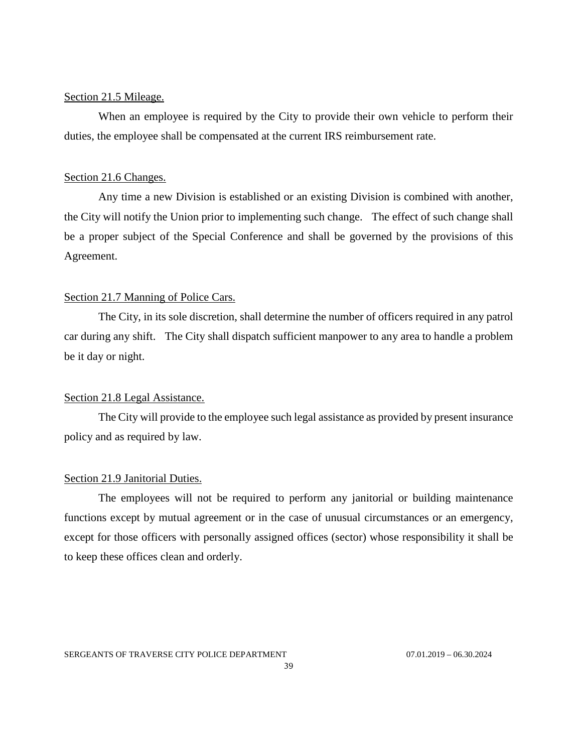## <span id="page-38-0"></span>Section 21.5 Mileage.

When an employee is required by the City to provide their own vehicle to perform their duties, the employee shall be compensated at the current IRS reimbursement rate.

## <span id="page-38-1"></span>Section 21.6 Changes.

Any time a new Division is established or an existing Division is combined with another, the City will notify the Union prior to implementing such change. The effect of such change shall be a proper subject of the Special Conference and shall be governed by the provisions of this Agreement.

## <span id="page-38-2"></span>Section 21.7 Manning of Police Cars.

The City, in its sole discretion, shall determine the number of officers required in any patrol car during any shift. The City shall dispatch sufficient manpower to any area to handle a problem be it day or night.

## <span id="page-38-3"></span>Section 21.8 Legal Assistance.

The City will provide to the employee such legal assistance as provided by present insurance policy and as required by law.

#### <span id="page-38-4"></span>Section 21.9 Janitorial Duties.

The employees will not be required to perform any janitorial or building maintenance functions except by mutual agreement or in the case of unusual circumstances or an emergency, except for those officers with personally assigned offices (sector) whose responsibility it shall be to keep these offices clean and orderly.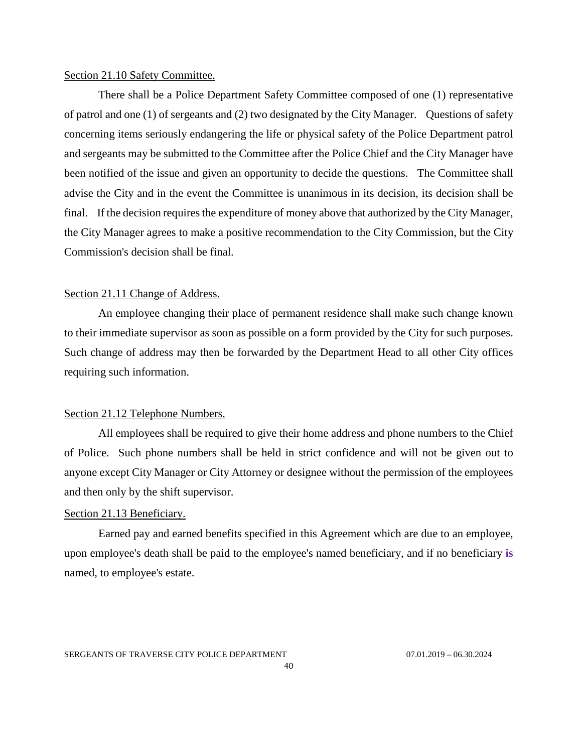## <span id="page-39-0"></span>Section 21.10 Safety Committee.

There shall be a Police Department Safety Committee composed of one (1) representative of patrol and one (1) of sergeants and (2) two designated by the City Manager. Questions of safety concerning items seriously endangering the life or physical safety of the Police Department patrol and sergeants may be submitted to the Committee after the Police Chief and the City Manager have been notified of the issue and given an opportunity to decide the questions. The Committee shall advise the City and in the event the Committee is unanimous in its decision, its decision shall be final. If the decision requires the expenditure of money above that authorized by the City Manager, the City Manager agrees to make a positive recommendation to the City Commission, but the City Commission's decision shall be final.

## <span id="page-39-1"></span>Section 21.11 Change of Address.

An employee changing their place of permanent residence shall make such change known to their immediate supervisor as soon as possible on a form provided by the City for such purposes. Such change of address may then be forwarded by the Department Head to all other City offices requiring such information.

## <span id="page-39-2"></span>Section 21.12 Telephone Numbers.

All employees shall be required to give their home address and phone numbers to the Chief of Police. Such phone numbers shall be held in strict confidence and will not be given out to anyone except City Manager or City Attorney or designee without the permission of the employees and then only by the shift supervisor.

## <span id="page-39-3"></span>Section 21.13 Beneficiary.

Earned pay and earned benefits specified in this Agreement which are due to an employee, upon employee's death shall be paid to the employee's named beneficiary, and if no beneficiary **is**  named, to employee's estate.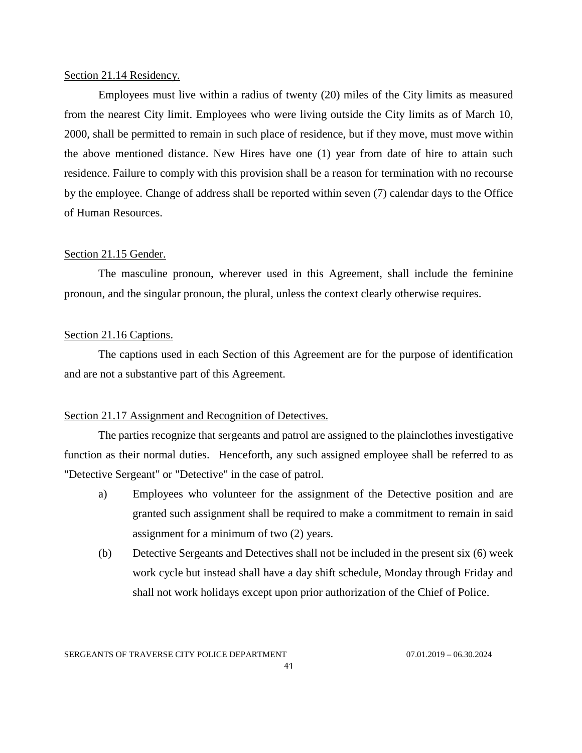## <span id="page-40-0"></span>Section 21.14 Residency.

Employees must live within a radius of twenty (20) miles of the City limits as measured from the nearest City limit. Employees who were living outside the City limits as of March 10, 2000, shall be permitted to remain in such place of residence, but if they move, must move within the above mentioned distance. New Hires have one (1) year from date of hire to attain such residence. Failure to comply with this provision shall be a reason for termination with no recourse by the employee. Change of address shall be reported within seven (7) calendar days to the Office of Human Resources.

#### <span id="page-40-1"></span>Section 21.15 Gender.

The masculine pronoun, wherever used in this Agreement, shall include the feminine pronoun, and the singular pronoun, the plural, unless the context clearly otherwise requires.

## <span id="page-40-2"></span>Section 21.16 Captions.

The captions used in each Section of this Agreement are for the purpose of identification and are not a substantive part of this Agreement.

## <span id="page-40-3"></span>Section 21.17 Assignment and Recognition of Detectives.

The parties recognize that sergeants and patrol are assigned to the plainclothes investigative function as their normal duties. Henceforth, any such assigned employee shall be referred to as "Detective Sergeant" or "Detective" in the case of patrol.

- a) Employees who volunteer for the assignment of the Detective position and are granted such assignment shall be required to make a commitment to remain in said assignment for a minimum of two (2) years.
- (b) Detective Sergeants and Detectives shall not be included in the present six (6) week work cycle but instead shall have a day shift schedule, Monday through Friday and shall not work holidays except upon prior authorization of the Chief of Police.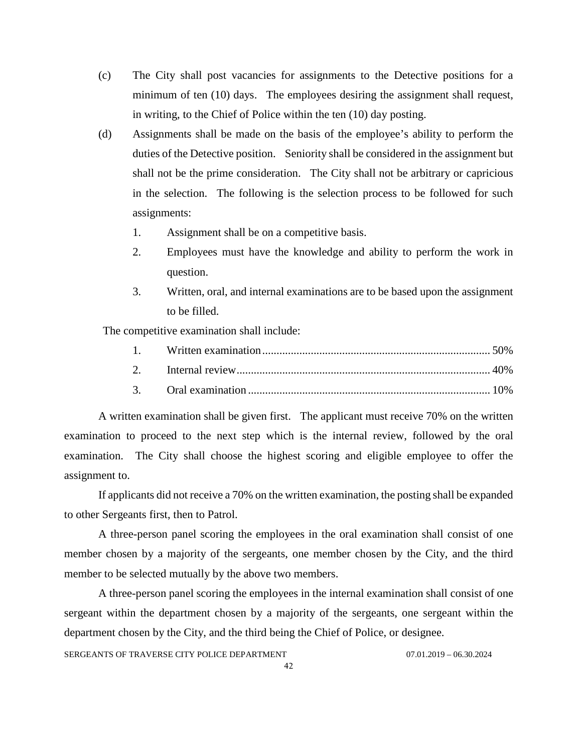- (c) The City shall post vacancies for assignments to the Detective positions for a minimum of ten (10) days. The employees desiring the assignment shall request, in writing, to the Chief of Police within the ten (10) day posting.
- (d) Assignments shall be made on the basis of the employee's ability to perform the duties of the Detective position. Seniority shall be considered in the assignment but shall not be the prime consideration. The City shall not be arbitrary or capricious in the selection. The following is the selection process to be followed for such assignments:
	- 1. Assignment shall be on a competitive basis.
	- 2. Employees must have the knowledge and ability to perform the work in question.
	- 3. Written, oral, and internal examinations are to be based upon the assignment to be filled.

The competitive examination shall include:

A written examination shall be given first. The applicant must receive 70% on the written examination to proceed to the next step which is the internal review, followed by the oral examination. The City shall choose the highest scoring and eligible employee to offer the assignment to.

If applicants did not receive a 70% on the written examination, the posting shall be expanded to other Sergeants first, then to Patrol.

A three-person panel scoring the employees in the oral examination shall consist of one member chosen by a majority of the sergeants, one member chosen by the City, and the third member to be selected mutually by the above two members.

A three-person panel scoring the employees in the internal examination shall consist of one sergeant within the department chosen by a majority of the sergeants, one sergeant within the department chosen by the City, and the third being the Chief of Police, or designee.

SERGEANTS OF TRAVERSE CITY POLICE DEPARTMENT 07.01.2019 - 06.30.2024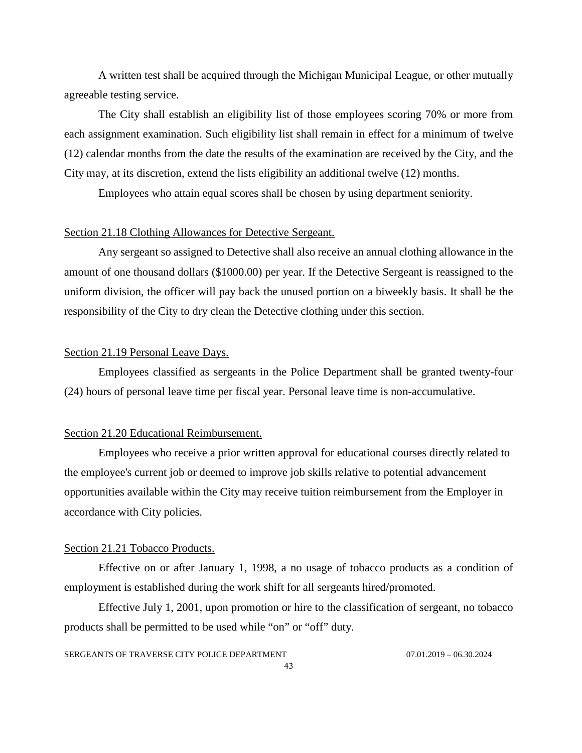A written test shall be acquired through the Michigan Municipal League, or other mutually agreeable testing service.

The City shall establish an eligibility list of those employees scoring 70% or more from each assignment examination. Such eligibility list shall remain in effect for a minimum of twelve (12) calendar months from the date the results of the examination are received by the City, and the City may, at its discretion, extend the lists eligibility an additional twelve (12) months.

Employees who attain equal scores shall be chosen by using department seniority.

## <span id="page-42-0"></span>Section 21.18 Clothing Allowances for Detective Sergeant.

Any sergeant so assigned to Detective shall also receive an annual clothing allowance in the amount of one thousand dollars (\$1000.00) per year. If the Detective Sergeant is reassigned to the uniform division, the officer will pay back the unused portion on a biweekly basis. It shall be the responsibility of the City to dry clean the Detective clothing under this section.

## <span id="page-42-1"></span>Section 21.19 Personal Leave Days.

Employees classified as sergeants in the Police Department shall be granted twenty-four (24) hours of personal leave time per fiscal year. Personal leave time is non-accumulative.

#### <span id="page-42-2"></span>Section 21.20 Educational Reimbursement.

Employees who receive a prior written approval for educational courses directly related to the employee's current job or deemed to improve job skills relative to potential advancement opportunities available within the City may receive tuition reimbursement from the Employer in accordance with City policies.

#### <span id="page-42-3"></span>Section 21.21 Tobacco Products.

Effective on or after January 1, 1998, a no usage of tobacco products as a condition of employment is established during the work shift for all sergeants hired/promoted.

Effective July 1, 2001, upon promotion or hire to the classification of sergeant, no tobacco products shall be permitted to be used while "on" or "off" duty.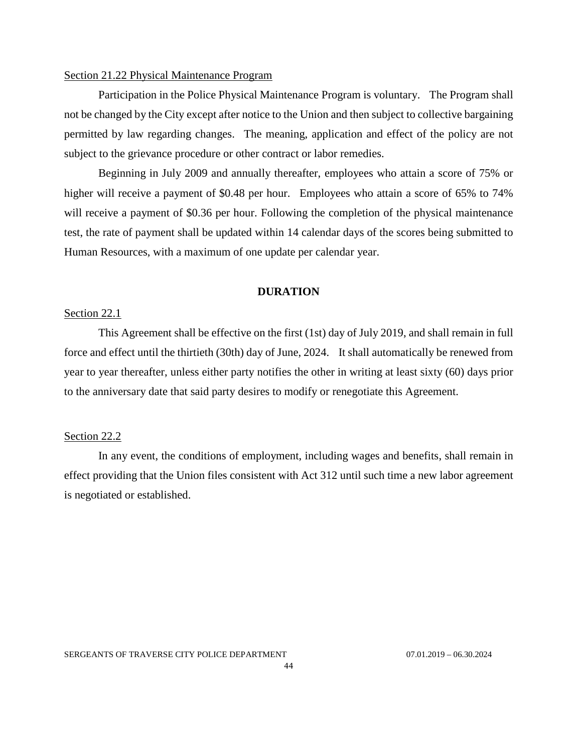## <span id="page-43-0"></span>Section 21.22 Physical Maintenance Program

Participation in the Police Physical Maintenance Program is voluntary. The Program shall not be changed by the City except after notice to the Union and then subject to collective bargaining permitted by law regarding changes. The meaning, application and effect of the policy are not subject to the grievance procedure or other contract or labor remedies.

Beginning in July 2009 and annually thereafter, employees who attain a score of 75% or higher will receive a payment of \$0.48 per hour. Employees who attain a score of 65% to 74% will receive a payment of \$0.36 per hour. Following the completion of the physical maintenance test, the rate of payment shall be updated within 14 calendar days of the scores being submitted to Human Resources, with a maximum of one update per calendar year.

#### **DURATION**

#### <span id="page-43-2"></span><span id="page-43-1"></span>Section 22.1

This Agreement shall be effective on the first (1st) day of July 2019, and shall remain in full force and effect until the thirtieth (30th) day of June, 2024. It shall automatically be renewed from year to year thereafter, unless either party notifies the other in writing at least sixty (60) days prior to the anniversary date that said party desires to modify or renegotiate this Agreement.

## <span id="page-43-3"></span>Section 22.2

In any event, the conditions of employment, including wages and benefits, shall remain in effect providing that the Union files consistent with Act 312 until such time a new labor agreement is negotiated or established.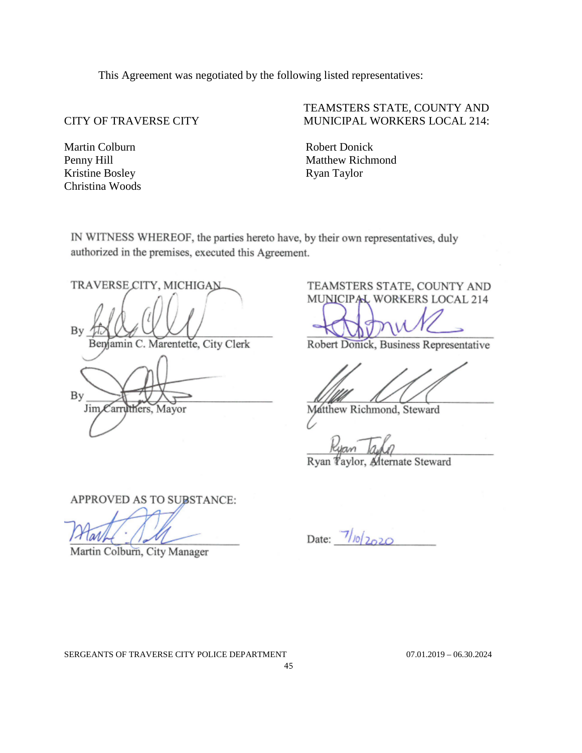This Agreement was negotiated by the following listed representatives:

Martin Colburn Penny Hill Kristine Bosley Christina Woods

 $B$ 

# TEAMSTERS STATE, COUNTY AND CITY OF TRAVERSE CITY MUNICIPAL WORKERS LOCAL 214:

Robert Donick Matthew Richmond Ryan Taylor

IN WITNESS WHEREOF, the parties hereto have, by their own representatives, duly authorized in the premises, executed this Agreement.

TRAVERSE CITY, MICHIGAN

C. Marentette, City Clerk amin

By Jim Carruthers. Mayor

TEAMSTERS STATE, COUNTY AND MUNICIPAL WORKERS LOCAL 214

Robert Donick, Business Representative

Matthew Richmond, Steward

Ryan *Taylor*, Alternate Steward

APPROVED AS TO SUBSTANCE:

l avl

Martin Colburn, City Manager

Date:  $7/10/2020$ 

SERGEANTS OF TRAVERSE CITY POLICE DEPARTMENT 07.01.2019 - 06.30.2024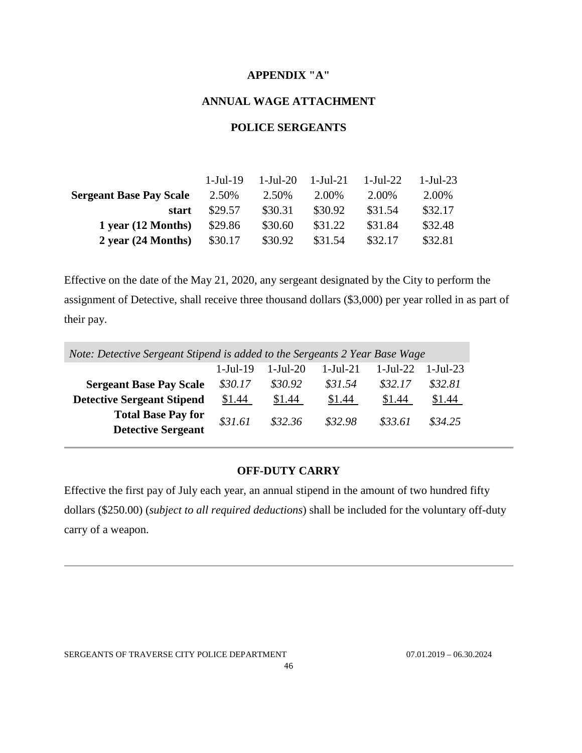## **APPENDIX "A"**

## **ANNUAL WAGE ATTACHMENT**

# **POLICE SERGEANTS**

<span id="page-45-1"></span><span id="page-45-0"></span>

|                                | 1-Jul-19 | 1-Jul-20 | 1-Jul-21 | - 1-Jul-22 | $1 - \text{Jul} - 23$ |
|--------------------------------|----------|----------|----------|------------|-----------------------|
| <b>Sergeant Base Pay Scale</b> | 2.50%    | 2.50%    | 2.00%    | 2.00%      | 2.00%                 |
| start                          | \$29.57  | \$30.31  | \$30.92  | \$31.54    | \$32.17               |
| 1 year (12 Months)             | \$29.86  | \$30.60  | \$31.22  | \$31.84    | \$32.48               |
| $2$ year (24 Months)           | \$30.17  | \$30.92  | \$31.54  | \$32.17    | \$32.81               |

Effective on the date of the May 21, 2020, any sergeant designated by the City to perform the assignment of Detective, shall receive three thousand dollars (\$3,000) per year rolled in as part of their pay.

| Note: Detective Sergeant Stipend is added to the Sergeants 2 Year Base Wage |                  |                       |            |                       |            |
|-----------------------------------------------------------------------------|------------------|-----------------------|------------|-----------------------|------------|
|                                                                             | $1 -$ Jul - $19$ | $1 - \text{Jul} - 20$ | $1-Jul-21$ | $1 - \text{Jul} - 22$ | $1-Ju1-23$ |
| <b>Sergeant Base Pay Scale</b>                                              | \$30.17          | \$30.92               | \$31.54    | \$32.17               | \$32.81    |
| <b>Detective Sergeant Stipend</b>                                           | \$1.44           | \$1.44                | \$1.44     | \$1.44                | \$1.44     |
| <b>Total Base Pay for</b><br><b>Detective Sergeant</b>                      | \$31.61          | \$32.36               | \$32.98    | \$33.61               | \$34.25    |

# **OFF-DUTY CARRY**

<span id="page-45-2"></span>Effective the first pay of July each year, an annual stipend in the amount of two hundred fifty dollars (\$250.00) (*subject to all required deductions*) shall be included for the voluntary off-duty carry of a weapon.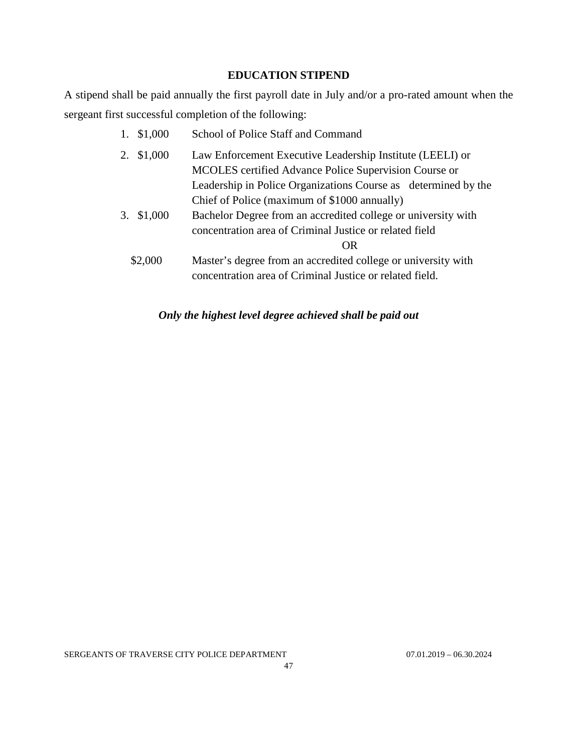## **EDUCATION STIPEND**

<span id="page-46-0"></span>A stipend shall be paid annually the first payroll date in July and/or a pro-rated amount when the sergeant first successful completion of the following:

> 1. \$1,000 School of Police Staff and Command 2. \$1,000 Law Enforcement Executive Leadership Institute (LEELI) or MCOLES certified Advance Police Supervision Course or Leadership in Police Organizations Course as determined by the Chief of Police (maximum of \$1000 annually) 3. \$1,000 Bachelor Degree from an accredited college or university with concentration area of Criminal Justice or related field OR \$2,000 Master's degree from an accredited college or university with concentration area of Criminal Justice or related field.

# *Only the highest level degree achieved shall be paid out*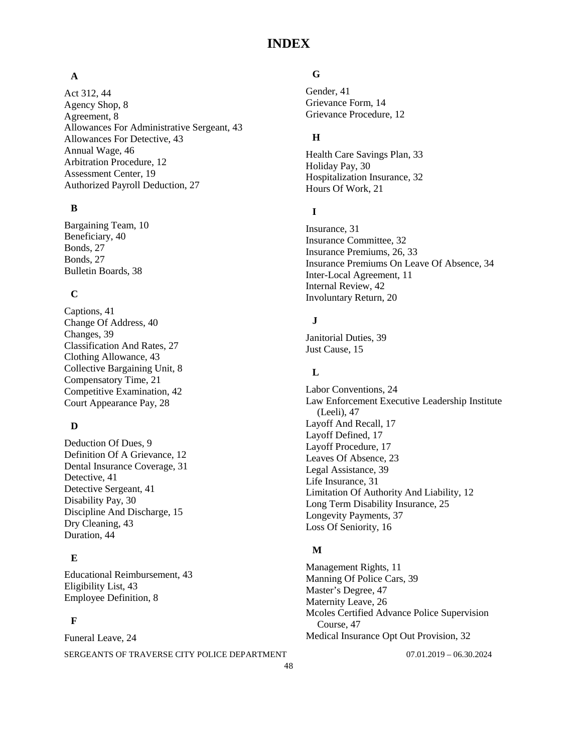# **INDEX**

#### **A**

Act 312, 44 Agency Shop, 8 Agreement, 8 Allowances For Administrative Sergeant, 43 Allowances For Detective, 43 Annual Wage, 46 Arbitration Procedure, 12 Assessment Center, 19 Authorized Payroll Deduction, 27

#### **B**

Bargaining Team, 10 Beneficiary, 40 Bonds, 27 Bonds, 27 Bulletin Boards, 38

## **C**

Captions, 41 Change Of Address, 40 Changes, 39 Classification And Rates, 27 Clothing Allowance, 43 Collective Bargaining Unit, 8 Compensatory Time, 21 Competitive Examination, 42 Court Appearance Pay, 28

## **D**

Deduction Of Dues, 9 Definition Of A Grievance, 12 Dental Insurance Coverage, 31 Detective, 41 Detective Sergeant, 41 Disability Pay, 30 Discipline And Discharge, 15 Dry Cleaning, 43 Duration, 44

## **E**

Educational Reimbursement, 43 Eligibility List, 43 Employee Definition, 8

#### **F**

SERGEANTS OF TRAVERSE CITY POLICE DEPARTMENT 07.01.2019 - 06.30.2024 Funeral Leave, 24

# **G**

Gender, 41 Grievance Form, 14 Grievance Procedure, 12

# **H**

Health Care Savings Plan, 33 Holiday Pay, 30 Hospitalization Insurance, 32 Hours Of Work, 21

## **I**

Insurance, 31 Insurance Committee, 32 Insurance Premiums, 26, 33 Insurance Premiums On Leave Of Absence, 34 Inter-Local Agreement, 11 Internal Review, 42 Involuntary Return, 20

# **J**

Janitorial Duties, 39 Just Cause, 15

## **L**

Labor Conventions, 24 Law Enforcement Executive Leadership Institute (Leeli), 47 Layoff And Recall, 17 Layoff Defined, 17 Layoff Procedure, 17 Leaves Of Absence, 23 Legal Assistance, 39 Life Insurance, 31 Limitation Of Authority And Liability, 12 Long Term Disability Insurance, 25 Longevity Payments, 37 Loss Of Seniority, 16

#### **M**

Management Rights, 11 Manning Of Police Cars, 39 Master's Degree, 47 Maternity Leave, 26 Mcoles Certified Advance Police Supervision Course, 47 Medical Insurance Opt Out Provision, 32